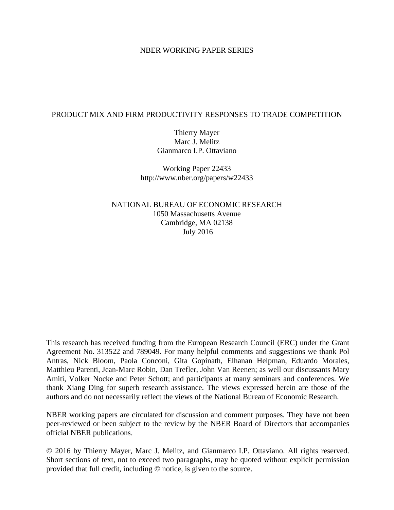# NBER WORKING PAPER SERIES

# PRODUCT MIX AND FIRM PRODUCTIVITY RESPONSES TO TRADE COMPETITION

Thierry Mayer Marc J. Melitz Gianmarco I.P. Ottaviano

Working Paper 22433 http://www.nber.org/papers/w22433

NATIONAL BUREAU OF ECONOMIC RESEARCH 1050 Massachusetts Avenue Cambridge, MA 02138 July 2016

This research has received funding from the European Research Council (ERC) under the Grant Agreement No. 313522 and 789049. For many helpful comments and suggestions we thank Pol Antras, Nick Bloom, Paola Conconi, Gita Gopinath, Elhanan Helpman, Eduardo Morales, Matthieu Parenti, Jean-Marc Robin, Dan Trefler, John Van Reenen; as well our discussants Mary Amiti, Volker Nocke and Peter Schott; and participants at many seminars and conferences. We thank Xiang Ding for superb research assistance. The views expressed herein are those of the authors and do not necessarily reflect the views of the National Bureau of Economic Research.

NBER working papers are circulated for discussion and comment purposes. They have not been peer-reviewed or been subject to the review by the NBER Board of Directors that accompanies official NBER publications.

© 2016 by Thierry Mayer, Marc J. Melitz, and Gianmarco I.P. Ottaviano. All rights reserved. Short sections of text, not to exceed two paragraphs, may be quoted without explicit permission provided that full credit, including © notice, is given to the source.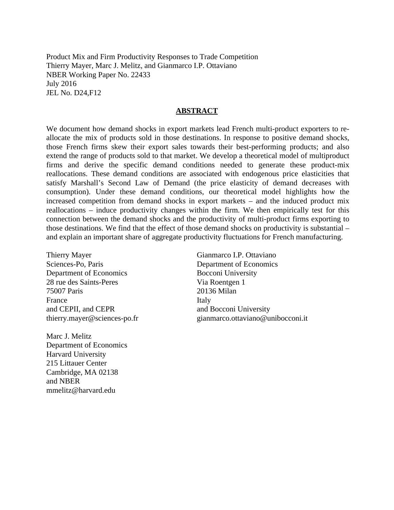Product Mix and Firm Productivity Responses to Trade Competition Thierry Mayer, Marc J. Melitz, and Gianmarco I.P. Ottaviano NBER Working Paper No. 22433 July 2016 JEL No. D24,F12

# **ABSTRACT**

We document how demand shocks in export markets lead French multi-product exporters to reallocate the mix of products sold in those destinations. In response to positive demand shocks, those French firms skew their export sales towards their best-performing products; and also extend the range of products sold to that market. We develop a theoretical model of multiproduct firms and derive the specific demand conditions needed to generate these product-mix reallocations. These demand conditions are associated with endogenous price elasticities that satisfy Marshall's Second Law of Demand (the price elasticity of demand decreases with consumption). Under these demand conditions, our theoretical model highlights how the increased competition from demand shocks in export markets – and the induced product mix reallocations – induce productivity changes within the firm. We then empirically test for this connection between the demand shocks and the productivity of multi-product firms exporting to those destinations. We find that the effect of those demand shocks on productivity is substantial – and explain an important share of aggregate productivity fluctuations for French manufacturing.

Thierry Mayer Sciences-Po, Paris Department of Economics 28 rue des Saints-Peres 75007 Paris France and CEPII, and CEPR thierry.mayer@sciences-po.fr

Marc J. Melitz Department of Economics Harvard University 215 Littauer Center Cambridge, MA 02138 and NBER mmelitz@harvard.edu

Gianmarco I.P. Ottaviano Department of Economics Bocconi University Via Roentgen 1 20136 Milan Italy and Bocconi University gianmarco.ottaviano@unibocconi.it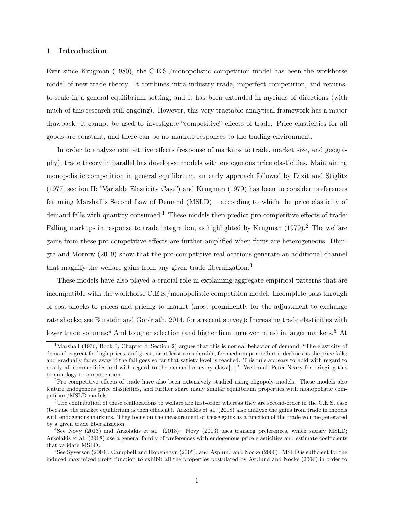#### 1 Introduction

Ever since Krugman (1980), the C.E.S./monopolistic competition model has been the workhorse model of new trade theory. It combines intra-industry trade, imperfect competition, and returnsto-scale in a general equilibrium setting; and it has been extended in myriads of directions (with much of this research still ongoing). However, this very tractable analytical framework has a major drawback: it cannot be used to investigate "competitive" effects of trade. Price elasticities for all goods are constant, and there can be no markup responses to the trading environment.

In order to analyze competitive effects (response of markups to trade, market size, and geography), trade theory in parallel has developed models with endogenous price elasticities. Maintaining monopolistic competition in general equilibrium, an early approach followed by Dixit and Stiglitz (1977, section II: "Variable Elasticity Case") and Krugman (1979) has been to consider preferences featuring Marshall's Second Law of Demand (MSLD) – according to which the price elasticity of demand falls with quantity consumed.<sup>1</sup> These models then predict pro-competitive effects of trade: Falling markups in response to trade integration, as highlighted by Krugman (1979).<sup>2</sup> The welfare gains from these pro-competitive effects are further amplified when firms are heterogeneous. Dhingra and Morrow (2019) show that the pro-competitive reallocations generate an additional channel that magnify the welfare gains from any given trade liberalization.<sup>3</sup>

These models have also played a crucial role in explaining aggregate empirical patterns that are incompatible with the workhorse C.E.S./monopolistic competition model: Incomplete pass-through of cost shocks to prices and pricing to market (most prominently for the adjustment to exchange rate shocks; see Burstein and Gopinath, 2014, for a recent survey); Increasing trade elasticities with lower trade volumes;<sup>4</sup> And tougher selection (and higher firm turnover rates) in larger markets.<sup>5</sup> At

<sup>&</sup>lt;sup>1</sup>Marshall (1936, Book 3, Chapter 4, Section 2) argues that this is normal behavior of demand: "The elasticity of demand is great for high prices, and great, or at least considerable, for medium prices; but it declines as the price falls; and gradually fades away if the fall goes so far that satiety level is reached. This rule appears to hold with regard to nearly all commodities and with regard to the demand of every class;[...]". We thank Peter Neary for bringing this terminology to our attention.

<sup>&</sup>lt;sup>2</sup>Pro-competitive effects of trade have also been extensively studied using oligopoly models. These models also feature endogenous price elasticities, and further share many similar equilibrium properties with monopolistic competition/MSLD models.

<sup>&</sup>lt;sup>3</sup>The contribution of these reallocations to welfare are first-order whereas they are second-order in the C.E.S. case (because the market equilibrium is then efficient). Arkolakis et al. (2018) also analyze the gains from trade in models with endogenous markups. They focus on the measurement of those gains as a function of the trade volume generated by a given trade liberalization.

<sup>4</sup>See Novy (2013) and Arkolakis et al. (2018). Novy (2013) uses translog preferences, which satisfy MSLD; Arkolakis et al. (2018) use a general family of preferences with endogenous price elasticities and estimate coefficients that validate MSLD.

<sup>&</sup>lt;sup>5</sup>See Syverson (2004), Campbell and Hopenhayn (2005), and Asplund and Nocke (2006). MSLD is sufficient for the induced maximized profit function to exhibit all the properties postulated by Asplund and Nocke (2006) in order to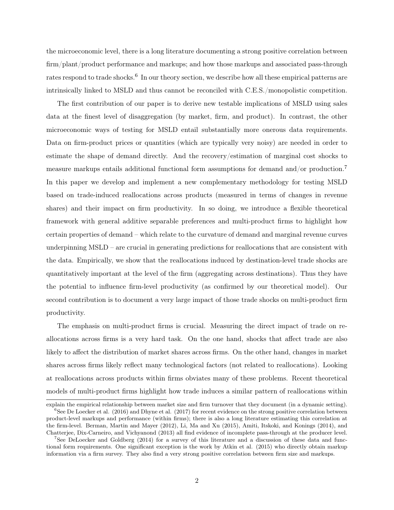the microeconomic level, there is a long literature documenting a strong positive correlation between firm/plant/product performance and markups; and how those markups and associated pass-through rates respond to trade shocks.<sup>6</sup> In our theory section, we describe how all these empirical patterns are intrinsically linked to MSLD and thus cannot be reconciled with C.E.S./monopolistic competition.

The first contribution of our paper is to derive new testable implications of MSLD using sales data at the finest level of disaggregation (by market, firm, and product). In contrast, the other microeconomic ways of testing for MSLD entail substantially more onerous data requirements. Data on firm-product prices or quantities (which are typically very noisy) are needed in order to estimate the shape of demand directly. And the recovery/estimation of marginal cost shocks to measure markups entails additional functional form assumptions for demand and/or production.<sup>7</sup> In this paper we develop and implement a new complementary methodology for testing MSLD based on trade-induced reallocations across products (measured in terms of changes in revenue shares) and their impact on firm productivity. In so doing, we introduce a flexible theoretical framework with general additive separable preferences and multi-product firms to highlight how certain properties of demand – which relate to the curvature of demand and marginal revenue curves underpinning MSLD – are crucial in generating predictions for reallocations that are consistent with the data. Empirically, we show that the reallocations induced by destination-level trade shocks are quantitatively important at the level of the firm (aggregating across destinations). Thus they have the potential to influence firm-level productivity (as confirmed by our theoretical model). Our second contribution is to document a very large impact of those trade shocks on multi-product firm productivity.

The emphasis on multi-product firms is crucial. Measuring the direct impact of trade on reallocations across firms is a very hard task. On the one hand, shocks that affect trade are also likely to affect the distribution of market shares across firms. On the other hand, changes in market shares across firms likely reflect many technological factors (not related to reallocations). Looking at reallocations across products within firms obviates many of these problems. Recent theoretical models of multi-product firms highlight how trade induces a similar pattern of reallocations within

explain the empirical relationship between market size and firm turnover that they document (in a dynamic setting).  $6$ See De Loecker et al. (2016) and Dhyne et al. (2017) for recent evidence on the strong positive correlation between

product-level markups and performance (within firms); there is also a long literature estimating this correlation at the firm-level. Berman, Martin and Mayer (2012), Li, Ma and Xu (2015), Amiti, Itskoki, and Konings (2014), and Chatterjee, Dix-Carneiro, and Vichyanond (2013) all find evidence of incomplete pass-through at the producer level.

<sup>7</sup>See DeLoecker and Goldberg (2014) for a survey of this literature and a discussion of these data and functional form requirements. One significant exception is the work by Atkin et al. (2015) who directly obtain markup information via a firm survey. They also find a very strong positive correlation between firm size and markups.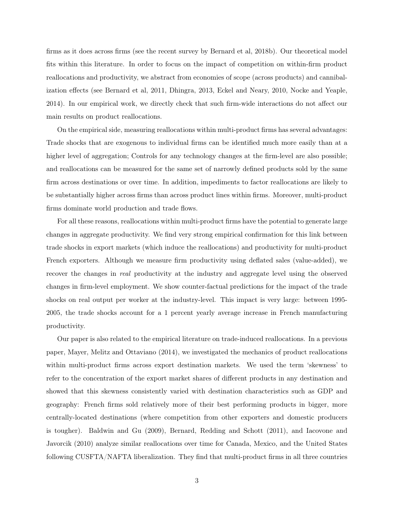firms as it does across firms (see the recent survey by Bernard et al, 2018b). Our theoretical model fits within this literature. In order to focus on the impact of competition on within-firm product reallocations and productivity, we abstract from economies of scope (across products) and cannibalization effects (see Bernard et al, 2011, Dhingra, 2013, Eckel and Neary, 2010, Nocke and Yeaple, 2014). In our empirical work, we directly check that such firm-wide interactions do not affect our main results on product reallocations.

On the empirical side, measuring reallocations within multi-product firms has several advantages: Trade shocks that are exogenous to individual firms can be identified much more easily than at a higher level of aggregation; Controls for any technology changes at the firm-level are also possible; and reallocations can be measured for the same set of narrowly defined products sold by the same firm across destinations or over time. In addition, impediments to factor reallocations are likely to be substantially higher across firms than across product lines within firms. Moreover, multi-product firms dominate world production and trade flows.

For all these reasons, reallocations within multi-product firms have the potential to generate large changes in aggregate productivity. We find very strong empirical confirmation for this link between trade shocks in export markets (which induce the reallocations) and productivity for multi-product French exporters. Although we measure firm productivity using deflated sales (value-added), we recover the changes in *real* productivity at the industry and aggregate level using the observed changes in firm-level employment. We show counter-factual predictions for the impact of the trade shocks on real output per worker at the industry-level. This impact is very large: between 1995- 2005, the trade shocks account for a 1 percent yearly average increase in French manufacturing productivity.

Our paper is also related to the empirical literature on trade-induced reallocations. In a previous paper, Mayer, Melitz and Ottaviano (2014), we investigated the mechanics of product reallocations within multi-product firms across export destination markets. We used the term 'skewness' to refer to the concentration of the export market shares of different products in any destination and showed that this skewness consistently varied with destination characteristics such as GDP and geography: French firms sold relatively more of their best performing products in bigger, more centrally-located destinations (where competition from other exporters and domestic producers is tougher). Baldwin and Gu (2009), Bernard, Redding and Schott (2011), and Iacovone and Javorcik (2010) analyze similar reallocations over time for Canada, Mexico, and the United States following CUSFTA/NAFTA liberalization. They find that multi-product firms in all three countries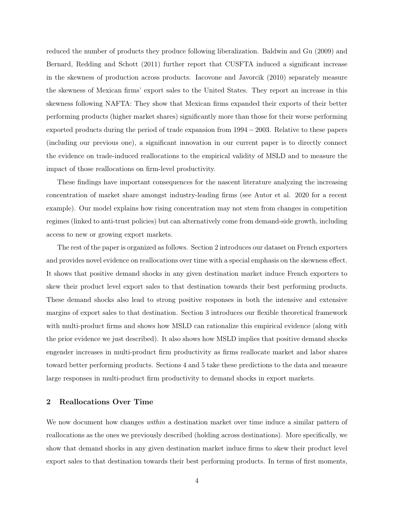reduced the number of products they produce following liberalization. Baldwin and Gu (2009) and Bernard, Redding and Schott (2011) further report that CUSFTA induced a significant increase in the skewness of production across products. Iacovone and Javorcik (2010) separately measure the skewness of Mexican firms' export sales to the United States. They report an increase in this skewness following NAFTA: They show that Mexican firms expanded their exports of their better performing products (higher market shares) significantly more than those for their worse performing exported products during the period of trade expansion from 1994 − 2003. Relative to these papers (including our previous one), a significant innovation in our current paper is to directly connect the evidence on trade-induced reallocations to the empirical validity of MSLD and to measure the impact of those reallocations on firm-level productivity.

These findings have important consequences for the nascent literature analyzing the increasing concentration of market share amongst industry-leading firms (see Autor et al. 2020 for a recent example). Our model explains how rising concentration may not stem from changes in competition regimes (linked to anti-trust policies) but can alternatively come from demand-side growth, including access to new or growing export markets.

The rest of the paper is organized as follows. Section 2 introduces our dataset on French exporters and provides novel evidence on reallocations over time with a special emphasis on the skewness effect. It shows that positive demand shocks in any given destination market induce French exporters to skew their product level export sales to that destination towards their best performing products. These demand shocks also lead to strong positive responses in both the intensive and extensive margins of export sales to that destination. Section 3 introduces our flexible theoretical framework with multi-product firms and shows how MSLD can rationalize this empirical evidence (along with the prior evidence we just described). It also shows how MSLD implies that positive demand shocks engender increases in multi-product firm productivity as firms reallocate market and labor shares toward better performing products. Sections 4 and 5 take these predictions to the data and measure large responses in multi-product firm productivity to demand shocks in export markets.

## 2 Reallocations Over Time

We now document how changes *within* a destination market over time induce a similar pattern of reallocations as the ones we previously described (holding across destinations). More specifically, we show that demand shocks in any given destination market induce firms to skew their product level export sales to that destination towards their best performing products. In terms of first moments,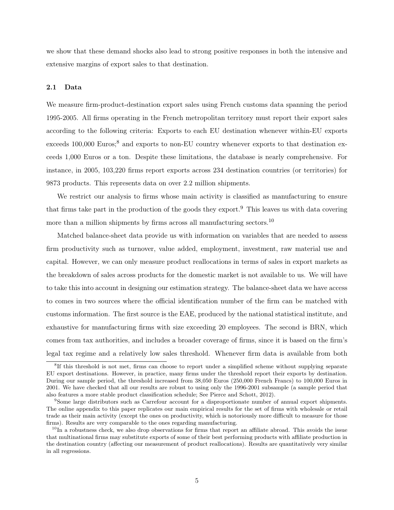we show that these demand shocks also lead to strong positive responses in both the intensive and extensive margins of export sales to that destination.

#### 2.1 Data

We measure firm-product-destination export sales using French customs data spanning the period 1995-2005. All firms operating in the French metropolitan territory must report their export sales according to the following criteria: Exports to each EU destination whenever within-EU exports exceeds 100,000 Euros;<sup>8</sup> and exports to non-EU country whenever exports to that destination exceeds 1,000 Euros or a ton. Despite these limitations, the database is nearly comprehensive. For instance, in 2005, 103,220 firms report exports across 234 destination countries (or territories) for 9873 products. This represents data on over 2.2 million shipments.

We restrict our analysis to firms whose main activity is classified as manufacturing to ensure that firms take part in the production of the goods they export.<sup>9</sup> This leaves us with data covering more than a million shipments by firms across all manufacturing sectors.<sup>10</sup>

Matched balance-sheet data provide us with information on variables that are needed to assess firm productivity such as turnover, value added, employment, investment, raw material use and capital. However, we can only measure product reallocations in terms of sales in export markets as the breakdown of sales across products for the domestic market is not available to us. We will have to take this into account in designing our estimation strategy. The balance-sheet data we have access to comes in two sources where the official identification number of the firm can be matched with customs information. The first source is the EAE, produced by the national statistical institute, and exhaustive for manufacturing firms with size exceeding 20 employees. The second is BRN, which comes from tax authorities, and includes a broader coverage of firms, since it is based on the firm's legal tax regime and a relatively low sales threshold. Whenever firm data is available from both

<sup>&</sup>lt;sup>8</sup>If this threshold is not met, firms can choose to report under a simplified scheme without supplying separate EU export destinations. However, in practice, many firms under the threshold report their exports by destination. During our sample period, the threshold increased from 38,050 Euros (250,000 French Francs) to 100,000 Euros in 2001. We have checked that all our results are robust to using only the 1996-2001 subsample (a sample period that also features a more stable product classification schedule; See Pierce and Schott, 2012).

<sup>9</sup>Some large distributors such as Carrefour account for a disproportionate number of annual export shipments. The online appendix to this paper replicates our main empirical results for the set of firms with wholesale or retail trade as their main activity (except the ones on productivity, which is notoriously more difficult to measure for those firms). Results are very comparable to the ones regarding manufacturing.

 $10$ In a robustness check, we also drop observations for firms that report an affiliate abroad. This avoids the issue that multinational firms may substitute exports of some of their best performing products with affiliate production in the destination country (affecting our measurement of product reallocations). Results are quantitatively very similar in all regressions.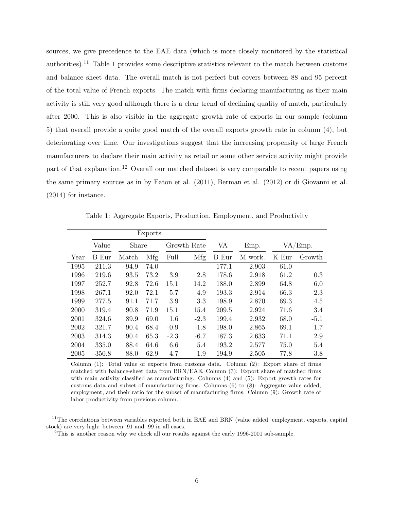sources, we give precedence to the EAE data (which is more closely monitored by the statistical authorities).<sup>11</sup> Table 1 provides some descriptive statistics relevant to the match between customs and balance sheet data. The overall match is not perfect but covers between 88 and 95 percent of the total value of French exports. The match with firms declaring manufacturing as their main activity is still very good although there is a clear trend of declining quality of match, particularly after 2000. This is also visible in the aggregate growth rate of exports in our sample (column 5) that overall provide a quite good match of the overall exports growth rate in column (4), but deteriorating over time. Our investigations suggest that the increasing propensity of large French manufacturers to declare their main activity as retail or some other service activity might provide part of that explanation.<sup>12</sup> Overall our matched dataset is very comparable to recent papers using the same primary sources as in by Eaton et al. (2011), Berman et al. (2012) or di Giovanni et al. (2014) for instance.

|      | Exports |       |      |             |        |       |         |       |         |
|------|---------|-------|------|-------------|--------|-------|---------|-------|---------|
|      | Value   | Share |      | Growth Rate |        | VA    | Emp.    |       | VA/Emp. |
| Year | B Eur   | Match | Mfg  | Full        | Mfg    | B Eur | M work. | K Eur | Growth  |
| 1995 | 211.3   | 94.9  | 74.0 |             |        | 177.1 | 2.903   | 61.0  |         |
| 1996 | 219.6   | 93.5  | 73.2 | 3.9         | 2.8    | 178.6 | 2.918   | 61.2  | 0.3     |
| 1997 | 252.7   | 92.8  | 72.6 | 15.1        | 14.2   | 188.0 | 2.899   | 64.8  | 6.0     |
| 1998 | 267.1   | 92.0  | 72.1 | 5.7         | 4.9    | 193.3 | 2.914   | 66.3  | 2.3     |
| 1999 | 277.5   | 91.1  | 71.7 | 3.9         | 3.3    | 198.9 | 2.870   | 69.3  | 4.5     |
| 2000 | 319.4   | 90.8  | 71.9 | 15.1        | 15.4   | 209.5 | 2.924   | 71.6  | 3.4     |
| 2001 | 324.6   | 89.9  | 69.0 | 1.6         | $-2.3$ | 199.4 | 2.932   | 68.0  | $-5.1$  |
| 2002 | 321.7   | 90.4  | 68.4 | $-0.9$      | $-1.8$ | 198.0 | 2.865   | 69.1  | 1.7     |
| 2003 | 314.3   | 90.4  | 65.3 | $-2.3$      | $-6.7$ | 187.3 | 2.633   | 71.1  | 2.9     |
| 2004 | 335.0   | 88.4  | 64.6 | 6.6         | 5.4    | 193.2 | 2.577   | 75.0  | 5.4     |
| 2005 | 350.8   | 88.0  | 62.9 | 4.7         | 1.9    | 194.9 | 2.505   | 77.8  | 3.8     |

Table 1: Aggregate Exports, Production, Employment, and Productivity

Column  $(1)$ : Total value of exports from customs data. Column  $(2)$ : Export share of firms matched with balance-sheet data from BRN/EAE. Column (3): Export share of matched firms with main activity classified as manufacturing. Columns (4) and (5): Export growth rates for customs data and subset of manufacturing firms. Columns (6) to (8): Aggregate value added, employment, and their ratio for the subset of manufacturing firms. Column (9): Growth rate of labor productivity from previous column.

 $11$ The correlations between variables reported both in EAE and BRN (value added, employment, exports, capital stock) are very high: between .91 and .99 in all cases.

<sup>&</sup>lt;sup>12</sup>This is another reason why we check all our results against the early 1996-2001 sub-sample.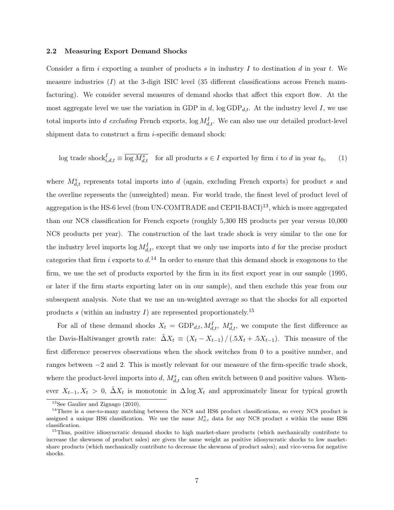#### 2.2 Measuring Export Demand Shocks

Consider a firm i exporting a number of products s in industry I to destination d in year t. We measure industries  $(I)$  at the 3-digit ISIC level  $(35$  different classifications across French manufacturing). We consider several measures of demand shocks that affect this export flow. At the most aggregate level we use the variation in GDP in d,  $log GDP_{d,t}$ . At the industry level I, we use total imports into d excluding French exports,  $\log M_{d,t}^I$ . We can also use our detailed product-level shipment data to construct a firm *i*-specific demand shock:

log trade shock $_{i,d,t}^I \equiv \overline{\log M_{d,t}^s}$  for all products  $s \in I$  exported by firm i to d in year  $t_0$ , (1)

where  $M_{d,t}^s$  represents total imports into d (again, excluding French exports) for product s and the overline represents the (unweighted) mean. For world trade, the finest level of product level of aggregation is the HS-6 level (from UN-COMTRADE and CEPII-BACI)<sup>13</sup>, which is more aggregated than our NC8 classification for French exports (roughly 5,300 HS products per year versus 10,000 NC8 products per year). The construction of the last trade shock is very similar to the one for the industry level imports  $\log M_{d,t}^I$ , except that we only use imports into d for the precise product categories that firm i exports to  $d<sup>14</sup>$  In order to ensure that this demand shock is exogenous to the firm, we use the set of products exported by the firm in its first export year in our sample (1995, or later if the firm starts exporting later on in our sample), and then exclude this year from our subsequent analysis. Note that we use an un-weighted average so that the shocks for all exported products s (within an industry  $I$ ) are represented proportionately.<sup>15</sup>

For all of these demand shocks  $X_t = \text{GDP}_{d,t}, M_{d,t}^I$ ,  $M_{d,t}^s$ , we compute the first difference as the Davis-Haltiwanger growth rate:  $\tilde{\Delta}X_t \equiv (X_t - X_{t-1})/(0.5X_t + 0.5X_{t-1})$ . This measure of the first difference preserves observations when the shock switches from 0 to a positive number, and ranges between −2 and 2. This is mostly relevant for our measure of the firm-specific trade shock, where the product-level imports into d,  $M_{d,t}^s$  can often switch between 0 and positive values. Whenever  $X_{t-1}, X_t > 0$ ,  $\tilde{\Delta}X_t$  is monotonic in  $\Delta \log X_t$  and approximately linear for typical growth

<sup>13</sup>See Gaulier and Zignago (2010).

<sup>&</sup>lt;sup>14</sup>There is a one-to-many matching between the NC8 and HS6 product classifications, so every NC8 product is assigned a unique HS6 classification. We use the same  $M_{d,t}^s$  data for any NC8 product s within the same HS6 classification.

<sup>&</sup>lt;sup>15</sup>Thus, positive idiosyncratic demand shocks to high market-share products (which mechanically contribute to increase the skewness of product sales) are given the same weight as positive idiosyncratic shocks to low marketshare products (which mechanically contribute to decrease the skewness of product sales); and vice-versa for negative shocks.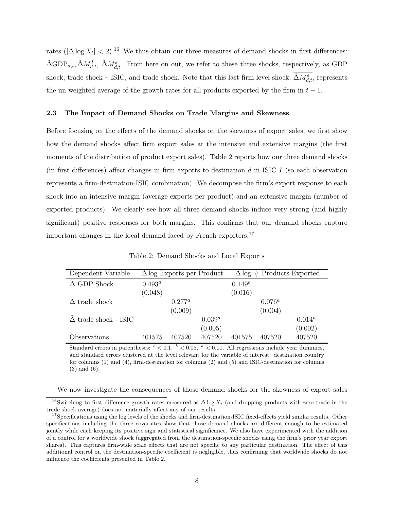rates ( $|\Delta \log X_t| < 2$ ).<sup>16</sup> We thus obtain our three measures of demand shocks in first differences:  $\tilde{\Delta}GDP_{d,t}, \tilde{\Delta}M_{d,t}^I$ ,  $\tilde{\Delta}M_{d,t}^s$ . From here on out, we refer to these three shocks, respectively, as GDP shock, trade shock – ISIC, and trade shock. Note that this last firm-level shock,  $\overline{\tilde{\Delta}M^s_{d,t}}$ , represents the un-weighted average of the growth rates for all products exported by the firm in  $t-1$ .

#### 2.3 The Impact of Demand Shocks on Trade Margins and Skewness

Before focusing on the effects of the demand shocks on the skewness of export sales, we first show how the demand shocks affect firm export sales at the intensive and extensive margins (the first moments of the distribution of product export sales). Table 2 reports how our three demand shocks (in first differences) affect changes in firm exports to destination  $d$  in ISIC  $I$  (so each observation represents a firm-destination-ISIC combination). We decompose the firm's export response to each shock into an intensive margin (average exports per product) and an extensive margin (number of exported products). We clearly see how all three demand shocks induce very strong (and highly significant) positive responses for both margins. This confirms that our demand shocks capture important changes in the local demand faced by French exporters.<sup>17</sup>

| Dependent Variable          |           | $\Delta$ log Exports per Product |             |           | $\Delta$ log # Products Exported |           |
|-----------------------------|-----------|----------------------------------|-------------|-----------|----------------------------------|-----------|
| $\Delta$ GDP Shock          | $0.493^a$ |                                  |             | $0.149^a$ |                                  |           |
|                             | (0.048)   |                                  |             | (0.016)   |                                  |           |
| $\Delta$ trade shock        |           | $0.277^a$                        |             |           | $0.076^a$                        |           |
|                             |           | (0.009)                          |             |           | (0.004)                          |           |
| $\Delta$ trade shock - ISIC |           |                                  | $0.039^{a}$ |           |                                  | $0.014^a$ |
|                             |           |                                  | (0.005)     |           |                                  | (0.002)   |
| Observations                | 401575    | 407520                           | 407520      | 401575    | 407520                           | 407520    |

Table 2: Demand Shocks and Local Exports

Standard errors in parentheses:  $c < 0.1$ ,  $b < 0.05$ ,  $a < 0.01$ . All regressions include year dummies, and standard errors clustered at the level relevant for the variable of interest: destination country for columns (1) and (4), firm-destination for columns (2) and (5) and ISIC-destination for columns (3) and (6).

We now investigate the consequences of those demand shocks for the skewness of export sales

<sup>&</sup>lt;sup>16</sup>Switching to first difference growth rates measured as  $\Delta \log X_t$  (and dropping products with zero trade in the trade shock average) does not materially affect any of our results.

<sup>&</sup>lt;sup>17</sup>Specifications using the log levels of the shocks and firm-destination-ISIC fixed-effects yield similar results. Other specifications including the three covariates show that those demand shocks are different enough to be estimated jointly while each keeping its positive sign and statistical significance. We also have experimented with the addition of a control for a worldwide shock (aggregated from the destination-specific shocks using the firm's prior year export shares). This captures firm-wide scale effects that are not specific to any particular destination. The effect of this additional control on the destination-specific coefficient is negligible, thus confirming that worldwide shocks do not influence the coefficients presented in Table 2.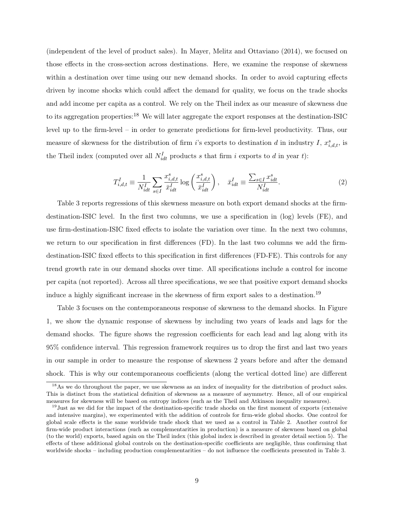(independent of the level of product sales). In Mayer, Melitz and Ottaviano (2014), we focused on those effects in the cross-section across destinations. Here, we examine the response of skewness within a destination over time using our new demand shocks. In order to avoid capturing effects driven by income shocks which could affect the demand for quality, we focus on the trade shocks and add income per capita as a control. We rely on the Theil index as our measure of skewness due to its aggregation properties:<sup>18</sup> We will later aggregate the export responses at the destination-ISIC level up to the firm-level – in order to generate predictions for firm-level productivity. Thus, our measure of skewness for the distribution of firm i's exports to destination d in industry I,  $x_{i,d,t}^s$ , is the Theil index (computed over all  $N_{idt}^I$  products s that firm i exports to d in year t):

$$
T_{i,d,t}^I \equiv \frac{1}{N_{idt}^I} \sum_{s \in I} \frac{x_{i,d,t}^s}{\bar{x}_{idt}^I} \log \left( \frac{x_{i,d,t}^s}{\bar{x}_{idt}^I} \right), \quad \bar{x}_{idt}^I \equiv \frac{\sum_{s \in I} x_{idt}^s}{N_{idt}^I}.
$$
 (2)

Table 3 reports regressions of this skewness measure on both export demand shocks at the firmdestination-ISIC level. In the first two columns, we use a specification in (log) levels (FE), and use firm-destination-ISIC fixed effects to isolate the variation over time. In the next two columns, we return to our specification in first differences (FD). In the last two columns we add the firmdestination-ISIC fixed effects to this specification in first differences (FD-FE). This controls for any trend growth rate in our demand shocks over time. All specifications include a control for income per capita (not reported). Across all three specifications, we see that positive export demand shocks induce a highly significant increase in the skewness of firm export sales to a destination.<sup>19</sup>

Table 3 focuses on the contemporaneous response of skewness to the demand shocks. In Figure 1, we show the dynamic response of skewness by including two years of leads and lags for the demand shocks. The figure shows the regression coefficients for each lead and lag along with its 95% confidence interval. This regression framework requires us to drop the first and last two years in our sample in order to measure the response of skewness 2 years before and after the demand shock. This is why our contemporaneous coefficients (along the vertical dotted line) are different

<sup>&</sup>lt;sup>18</sup>As we do throughout the paper, we use skewness as an index of inequality for the distribution of product sales. This is distinct from the statistical definition of skewness as a measure of asymmetry. Hence, all of our empirical measures for skewness will be based on entropy indices (such as the Theil and Atkinson inequality measures).

<sup>&</sup>lt;sup>19</sup>Just as we did for the impact of the destination-specific trade shocks on the first moment of exports (extensive and intensive margins), we experimented with the addition of controls for firm-wide global shocks. One control for global scale effects is the same worldwide trade shock that we used as a control in Table 2. Another control for firm-wide product interactions (such as complementarities in production) is a measure of skewness based on global (to the world) exports, based again on the Theil index (this global index is described in greater detail section 5). The effects of these additional global controls on the destination-specific coefficients are negligible, thus confirming that worldwide shocks – including production complementarities – do not influence the coefficients presented in Table 3.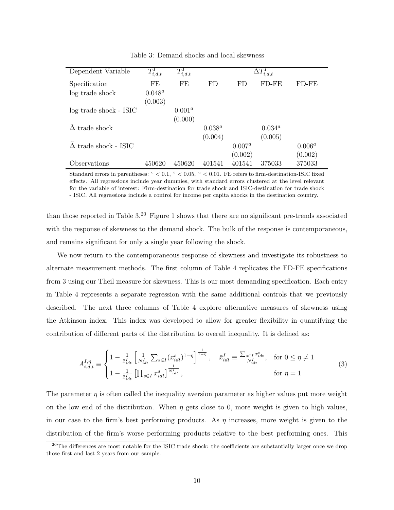| Dependent Variable          | $\bar{T^I_{i,d,t}}$ | $\overline{T_{i,d,t}^I}$ |             |             | $\Delta T^I_{i,d,t}$ |           |
|-----------------------------|---------------------|--------------------------|-------------|-------------|----------------------|-----------|
| Specification               | FE                  | FE                       | FD          | FD          | FD-FE                | FD-FE     |
| log trade shock             | $0.048^a$           |                          |             |             |                      |           |
|                             | (0.003)             |                          |             |             |                      |           |
| log trade shock - ISIC      |                     | $0.001^a$                |             |             |                      |           |
|                             |                     | (0.000)                  |             |             |                      |           |
| trade shock                 |                     |                          | $0.038^{a}$ |             | $0.034^a$            |           |
|                             |                     |                          | (0.004)     |             | (0.005)              |           |
| $\Delta$ trade shock - ISIC |                     |                          |             | $0.007^{a}$ |                      | $0.006^a$ |
|                             |                     |                          |             | (0.002)     |                      | (0.002)   |
| Observations                | 450620              | 450620                   | 401541      | 401541      | 375033               | 375033    |

Table 3: Demand shocks and local skewness

Standard errors in parentheses:  $c < 0.1$ ,  $b < 0.05$ ,  $a < 0.01$ . FE refers to firm-destination-ISIC fixed effects. All regressions include year dummies, with standard errors clustered at the level relevant for the variable of interest: Firm-destination for trade shock and ISIC-destination for trade shock - ISIC. All regressions include a control for income per capita shocks in the destination country.

than those reported in Table  $3^{20}$  Figure 1 shows that there are no significant pre-trends associated with the response of skewness to the demand shock. The bulk of the response is contemporaneous, and remains significant for only a single year following the shock.

We now return to the contemporaneous response of skewness and investigate its robustness to alternate measurement methods. The first column of Table 4 replicates the FD-FE specifications from 3 using our Theil measure for skewness. This is our most demanding specification. Each entry in Table 4 represents a separate regression with the same additional controls that we previously described. The next three columns of Table 4 explore alternative measures of skewness using the Atkinson index. This index was developed to allow for greater flexibility in quantifying the contribution of different parts of the distribution to overall inequality. It is defined as:

$$
A_{i,d,t}^{I,\eta} \equiv \begin{cases} 1 - \frac{1}{\bar{x}_{idt}^I} \left[ \frac{1}{N_{idt}^I} \sum_{s \in I} (x_{idt}^s)^{1-\eta} \right]^{\frac{1}{1-\eta}}, & \bar{x}_{idt}^I \equiv \frac{\sum_{s \in I} x_{idt}^s}{N_{idt}^I}, & \text{for } 0 \le \eta \ne 1\\ 1 - \frac{1}{\bar{x}_{idt}^I} \left[ \prod_{s \in I} x_{idt}^s \right]^{\frac{1}{N_{idt}^I}}, & \text{for } \eta = 1 \end{cases} \tag{3}
$$

The parameter  $\eta$  is often called the inequality aversion parameter as higher values put more weight on the low end of the distribution. When  $\eta$  gets close to 0, more weight is given to high values, in our case to the firm's best performing products. As  $\eta$  increases, more weight is given to the distribution of the firm's worse performing products relative to the best performing ones. This

<sup>&</sup>lt;sup>20</sup>The differences are most notable for the ISIC trade shock: the coefficients are substantially larger once we drop those first and last 2 years from our sample.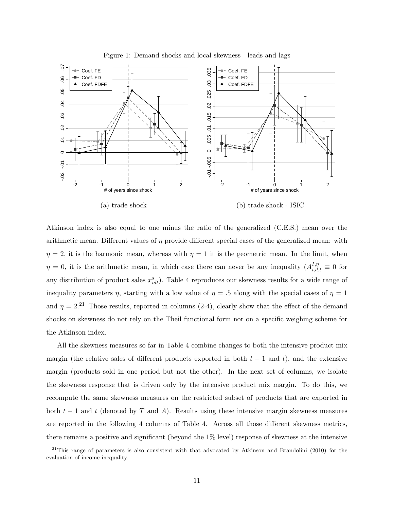

Figure 1: Demand shocks and local skewness - leads and lags

Atkinson index is also equal to one minus the ratio of the generalized (C.E.S.) mean over the arithmetic mean. Different values of  $\eta$  provide different special cases of the generalized mean: with  $\eta = 2$ , it is the harmonic mean, whereas with  $\eta = 1$  it is the geometric mean. In the limit, when  $\eta = 0$ , it is the arithmetic mean, in which case there can never be any inequality  $(A^{I,\eta}_{i,d,t} \equiv 0$  for any distribution of product sales  $x_{idt}^s$ ). Table 4 reproduces our skewness results for a wide range of inequality parameters  $\eta$ , starting with a low value of  $\eta = 0.5$  along with the special cases of  $\eta = 1$ and  $\eta = 2^{21}$  Those results, reported in columns (2-4), clearly show that the effect of the demand shocks on skewness do not rely on the Theil functional form nor on a specific weighing scheme for the Atkinson index.

All the skewness measures so far in Table 4 combine changes to both the intensive product mix margin (the relative sales of different products exported in both  $t - 1$  and t), and the extensive margin (products sold in one period but not the other). In the next set of columns, we isolate the skewness response that is driven only by the intensive product mix margin. To do this, we recompute the same skewness measures on the restricted subset of products that are exported in both  $t-1$  and t (denoted by  $\overline{T}$  and  $\overline{A}$ ). Results using these intensive margin skewness measures are reported in the following 4 columns of Table 4. Across all those different skewness metrics, there remains a positive and significant (beyond the 1% level) response of skewness at the intensive

 $21$ This range of parameters is also consistent with that advocated by Atkinson and Brandolini (2010) for the evaluation of income inequality.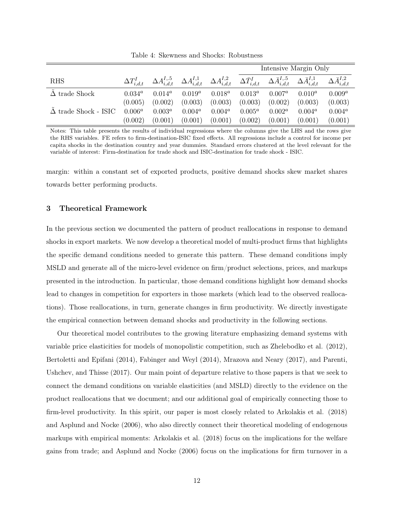|                             |                      |                           |           |                                                   | Intensive Margin Only                    |                                                              |           |                               |
|-----------------------------|----------------------|---------------------------|-----------|---------------------------------------------------|------------------------------------------|--------------------------------------------------------------|-----------|-------------------------------|
| <b>RHS</b>                  | $\Delta T_{i,d,t}^I$ | $\Delta A^{I,.5}_{i,d,t}$ |           | $\Delta A^{I,1}_{i,d,t}$ $\Delta A^{I,2}_{i,d,t}$ | $\Delta \bar{T}^I_{i,d,t}$ $\rightarrow$ | $\Delta \bar A_{i,d,t}^{I,.5}$ $\Delta \bar A_{i,d,t}^{I,1}$ |           | $\Delta \bar A_{i,d,t}^{I,2}$ |
| $\ddot{\Delta}$ trade Shock | $0.034^{\circ}$      | $0.014^a$                 | $0.019^a$ | $0.018^a$                                         | $0.013^a$                                | $0.007^a$                                                    | $0.010^a$ | $0.009^a$                     |
|                             | (0.005)              | (0.002)                   | (0.003)   | (0.003)                                           | (0.003)                                  | (0.002)                                                      | (0.003)   | (0.003)                       |
| $\Delta$ trade Shock - ISIC | $0.006^a$            | $0.003^a$                 | $0.004^a$ | $0.004^a$                                         | $0.005^a$                                | $0.002^a$                                                    | $0.004^a$ | $0.004^a$                     |
|                             | (0.002)              | (0.001)                   | (0.001)   | (0.001)                                           | (0.002)                                  | (0.001)                                                      | (0.001)   | (0.001)                       |

Table 4: Skewness and Shocks: Robustness

Notes: This table presents the results of individual regressions where the columns give the LHS and the rows give the RHS variables. FE refers to firm-destination-ISIC fixed effects. All regressions include a control for income per capita shocks in the destination country and year dummies. Standard errors clustered at the level relevant for the variable of interest: Firm-destination for trade shock and ISIC-destination for trade shock - ISIC.

margin: within a constant set of exported products, positive demand shocks skew market shares towards better performing products.

# 3 Theoretical Framework

In the previous section we documented the pattern of product reallocations in response to demand shocks in export markets. We now develop a theoretical model of multi-product firms that highlights the specific demand conditions needed to generate this pattern. These demand conditions imply MSLD and generate all of the micro-level evidence on firm/product selections, prices, and markups presented in the introduction. In particular, those demand conditions highlight how demand shocks lead to changes in competition for exporters in those markets (which lead to the observed reallocations). Those reallocations, in turn, generate changes in firm productivity. We directly investigate the empirical connection between demand shocks and productivity in the following sections.

Our theoretical model contributes to the growing literature emphasizing demand systems with variable price elasticities for models of monopolistic competition, such as Zhelebodko et al. (2012), Bertoletti and Epifani (2014), Fabinger and Weyl (2014), Mrazova and Neary (2017), and Parenti, Ushchev, and Thisse (2017). Our main point of departure relative to those papers is that we seek to connect the demand conditions on variable elasticities (and MSLD) directly to the evidence on the product reallocations that we document; and our additional goal of empirically connecting those to firm-level productivity. In this spirit, our paper is most closely related to Arkolakis et al. (2018) and Asplund and Nocke (2006), who also directly connect their theoretical modeling of endogenous markups with empirical moments: Arkolakis et al. (2018) focus on the implications for the welfare gains from trade; and Asplund and Nocke (2006) focus on the implications for firm turnover in a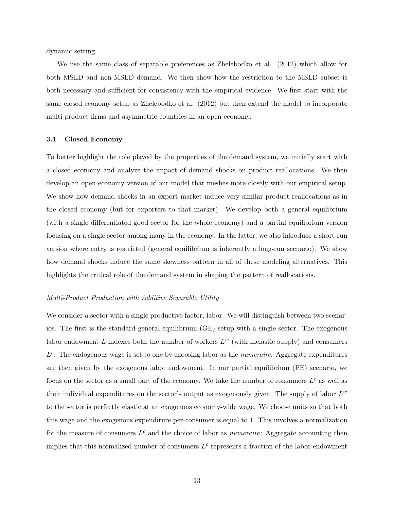dynamic setting.

We use the same class of separable preferences as Zhelebodko et al. (2012) which allow for both MSLD and non-MSLD demand. We then show how the restriction to the MSLD subset is both necessary and sufficient for consistency with the empirical evidence. We first start with the same closed economy setup as Zhelebodko et al. (2012) but then extend the model to incorporate multi-product firms and asymmetric countries in an open-economy.

#### 3.1 Closed Economy

To better highlight the role played by the properties of the demand system, we initially start with a closed economy and analyze the impact of demand shocks on product reallocations. We then develop an open economy version of our model that meshes more closely with our empirical setup. We show how demand shocks in an export market induce very similar product reallocations as in the closed economy (but for exporters to that market). We develop both a general equilibrium (with a single differentiated good sector for the whole economy) and a partial equilibrium version focusing on a single sector among many in the economy. In the latter, we also introduce a short-run version where entry is restricted (general equilibrium is inherently a long-run scenario). We show how demand shocks induce the same skewness pattern in all of these modeling alternatives. This highlights the critical role of the demand system in shaping the pattern of reallocations.

#### Multi-Product Production with Additive Separable Utility

We consider a sector with a single productive factor, labor. We will distinguish between two scenarios. The first is the standard general equilibrium (GE) setup with a single sector. The exogenous labor endowment L indexes both the number of workers  $L^w$  (with inelastic supply) and consumers  $L<sup>c</sup>$ . The endogenous wage is set to one by choosing labor as the *numeraire*. Aggregate expenditures are then given by the exogenous labor endowment. In our partial equilibrium (PE) scenario, we focus on the sector as a small part of the economy. We take the number of consumers  $L^c$  as well as their individual expenditures on the sector's output as exogenously given. The supply of labor  $L^w$ to the sector is perfectly elastic at an exogenous economy-wide wage. We choose units so that both this wage and the exogenous expenditure per-consumer is equal to 1. This involves a normalization for the measure of consumers  $L^c$  and the choice of labor as *numeraire*: Aggregate accounting then implies that this normalized number of consumers  $L^c$  represents a fraction of the labor endowment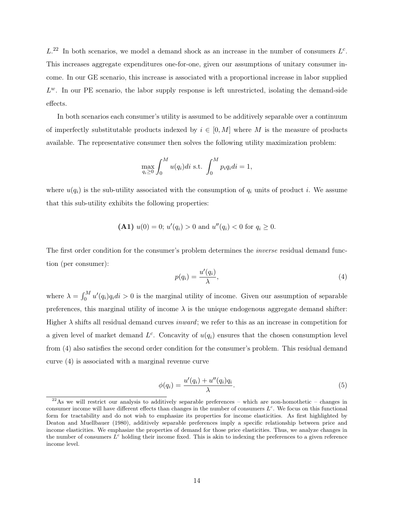$L^{22}$  In both scenarios, we model a demand shock as an increase in the number of consumers  $L^c$ . This increases aggregate expenditures one-for-one, given our assumptions of unitary consumer income. In our GE scenario, this increase is associated with a proportional increase in labor supplied  $L^w$ . In our PE scenario, the labor supply response is left unrestricted, isolating the demand-side effects.

In both scenarios each consumer's utility is assumed to be additively separable over a continuum of imperfectly substitutable products indexed by  $i \in [0, M]$  where M is the measure of products available. The representative consumer then solves the following utility maximization problem:

$$
\max_{q_i \ge 0} \int_0^M u(q_i)di \text{ s.t. } \int_0^M p_i q_i di = 1,
$$

where  $u(q_i)$  is the sub-utility associated with the consumption of  $q_i$  units of product i. We assume that this sub-utility exhibits the following properties:

**(A1)** 
$$
u(0) = 0
$$
;  $u'(q_i) > 0$  and  $u''(q_i) < 0$  for  $q_i \ge 0$ .

The first order condition for the consumer's problem determines the *inverse* residual demand function (per consumer):

$$
p(q_i) = \frac{u'(q_i)}{\lambda},\tag{4}
$$

where  $\lambda = \int_0^M u'(q_i)q_i di > 0$  is the marginal utility of income. Given our assumption of separable preferences, this marginal utility of income  $\lambda$  is the unique endogenous aggregate demand shifter: Higher  $\lambda$  shifts all residual demand curves *inward*; we refer to this as an increase in competition for a given level of market demand  $L^c$ . Concavity of  $u(q_i)$  ensures that the chosen consumption level from (4) also satisfies the second order condition for the consumer's problem. This residual demand curve (4) is associated with a marginal revenue curve

$$
\phi(q_i) = \frac{u'(q_i) + u''(q_i)q_i}{\lambda}.\tag{5}
$$

 $^{22}$ As we will restrict our analysis to additively separable preferences – which are non-homothetic – changes in consumer income will have different effects than changes in the number of consumers  $L^c$ . We focus on this functional form for tractability and do not wish to emphasize its properties for income elasticities. As first highlighted by Deaton and Muellbauer (1980), additively separable preferences imply a specific relationship between price and income elasticities. We emphasize the properties of demand for those price elasticities. Thus, we analyze changes in the number of consumers  $L^c$  holding their income fixed. This is akin to indexing the preferences to a given reference income level.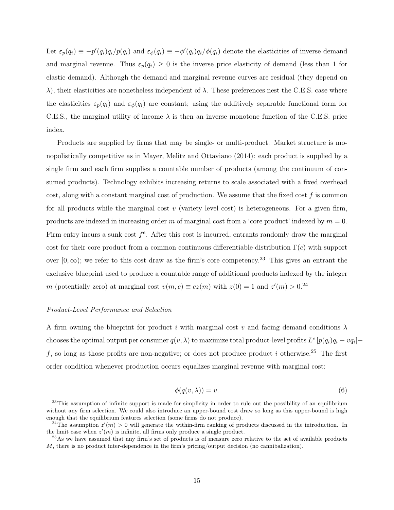Let  $\varepsilon_p(q_i) \equiv -p'(q_i)q_i/p(q_i)$  and  $\varepsilon_\phi(q_i) \equiv -\phi'(q_i)q_i/\phi(q_i)$  denote the elasticities of inverse demand and marginal revenue. Thus  $\varepsilon_p(q_i) \geq 0$  is the inverse price elasticity of demand (less than 1 for elastic demand). Although the demand and marginal revenue curves are residual (they depend on  $\lambda$ ), their elasticities are nonetheless independent of  $\lambda$ . These preferences nest the C.E.S. case where the elasticities  $\varepsilon_p(q_i)$  and  $\varepsilon_\phi(q_i)$  are constant; using the additively separable functional form for C.E.S., the marginal utility of income  $\lambda$  is then an inverse monotone function of the C.E.S. price index.

Products are supplied by firms that may be single- or multi-product. Market structure is monopolistically competitive as in Mayer, Melitz and Ottaviano (2014): each product is supplied by a single firm and each firm supplies a countable number of products (among the continuum of consumed products). Technology exhibits increasing returns to scale associated with a fixed overhead cost, along with a constant marginal cost of production. We assume that the fixed cost  $f$  is common for all products while the marginal cost  $v$  (variety level cost) is heterogeneous. For a given firm, products are indexed in increasing order m of marginal cost from a 'core product' indexed by  $m = 0$ . Firm entry incurs a sunk cost  $f^e$ . After this cost is incurred, entrants randomly draw the marginal cost for their core product from a common continuous differentiable distribution  $\Gamma(c)$  with support over  $[0, \infty)$ ; we refer to this cost draw as the firm's core competency.<sup>23</sup> This gives an entrant the exclusive blueprint used to produce a countable range of additional products indexed by the integer m (potentially zero) at marginal cost  $v(m, c) \equiv cz(m)$  with  $z(0) = 1$  and  $z'(m) > 0$ .<sup>24</sup>

#### Product-Level Performance and Selection

A firm owning the blueprint for product i with marginal cost v and facing demand conditions  $\lambda$ chooses the optimal output per consumer  $q(v, \lambda)$  to maximize total product-level profits  $L^c[p(q_i)q_i - vq_i]$ f, so long as those profits are non-negative; or does not produce product i otherwise.<sup>25</sup> The first order condition whenever production occurs equalizes marginal revenue with marginal cost:

$$
\phi(q(v,\lambda)) = v.\tag{6}
$$

 $^{23}$ This assumption of infinite support is made for simplicity in order to rule out the possibility of an equilibrium without any firm selection. We could also introduce an upper-bound cost draw so long as this upper-bound is high enough that the equilibrium features selection (some firms do not produce).

<sup>&</sup>lt;sup>24</sup>The assumption  $z'(m) > 0$  will generate the within-firm ranking of products discussed in the introduction. In the limit case when  $z'(m)$  is infinite, all firms only produce a single product.

 $^{25}$ As we have assumed that any firm's set of products is of measure zero relative to the set of available products  $M$ , there is no product inter-dependence in the firm's pricing/output decision (no cannibalization).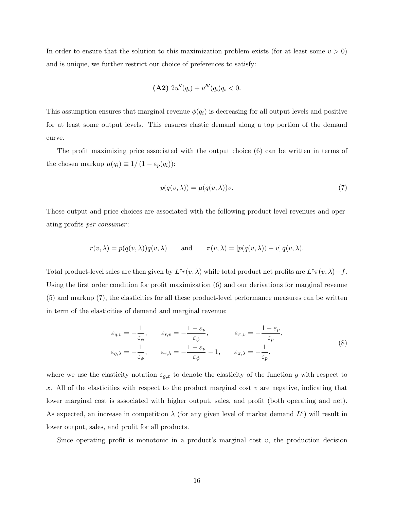In order to ensure that the solution to this maximization problem exists (for at least some  $v > 0$ ) and is unique, we further restrict our choice of preferences to satisfy:

(A2) 
$$
2u''(q_i) + u'''(q_i)q_i < 0.
$$

This assumption ensures that marginal revenue  $\phi(q_i)$  is decreasing for all output levels and positive for at least some output levels. This ensures elastic demand along a top portion of the demand curve.

The profit maximizing price associated with the output choice (6) can be written in terms of the chosen markup  $\mu(q_i) \equiv 1/(1 - \varepsilon_p(q_i))$ :

$$
p(q(v,\lambda)) = \mu(q(v,\lambda))v.
$$
\n(7)

Those output and price choices are associated with the following product-level revenues and operating profits per-consumer :

$$
r(v, \lambda) = p(q(v, \lambda))q(v, \lambda)
$$
 and  $\pi(v, \lambda) = [p(q(v, \lambda)) - v]q(v, \lambda).$ 

Total product-level sales are then given by  $L^c r(v, \lambda)$  while total product net profits are  $L^c \pi(v, \lambda) - f$ . Using the first order condition for profit maximization (6) and our derivations for marginal revenue (5) and markup (7), the elasticities for all these product-level performance measures can be written in term of the elasticities of demand and marginal revenue:

$$
\varepsilon_{q,v} = -\frac{1}{\varepsilon_{\phi}}, \qquad \varepsilon_{r,v} = -\frac{1 - \varepsilon_p}{\varepsilon_{\phi}}, \qquad \varepsilon_{\pi,v} = -\frac{1 - \varepsilon_p}{\varepsilon_p},
$$
\n
$$
\varepsilon_{q,\lambda} = -\frac{1}{\varepsilon_{\phi}}, \qquad \varepsilon_{r,\lambda} = -\frac{1 - \varepsilon_p}{\varepsilon_{\phi}} - 1, \qquad \varepsilon_{\pi,\lambda} = -\frac{1}{\varepsilon_p},
$$
\n(8)

where we use the elasticity notation  $\varepsilon_{g,x}$  to denote the elasticity of the function g with respect to x. All of the elasticities with respect to the product marginal cost  $v$  are negative, indicating that lower marginal cost is associated with higher output, sales, and profit (both operating and net). As expected, an increase in competition  $\lambda$  (for any given level of market demand  $L^c$ ) will result in lower output, sales, and profit for all products.

Since operating profit is monotonic in a product's marginal cost  $v$ , the production decision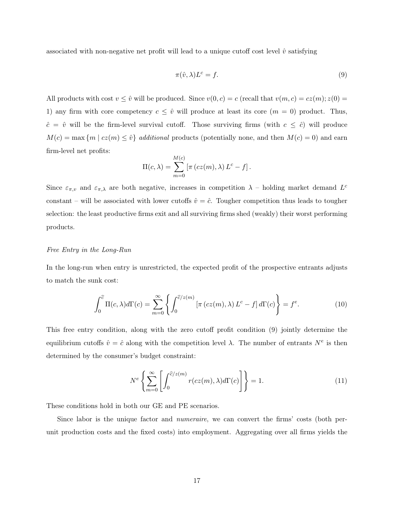associated with non-negative net profit will lead to a unique cutoff cost level  $\hat{v}$  satisfying

$$
\pi(\hat{v}, \lambda)L^c = f. \tag{9}
$$

All products with cost  $v \leq \hat{v}$  will be produced. Since  $v(0, c) = c$  (recall that  $v(m, c) = cz(m); z(0) = c$ 1) any firm with core competency  $c \leq \hat{v}$  will produce at least its core  $(m = 0)$  product. Thus,  $\hat{c} = \hat{v}$  will be the firm-level survival cutoff. Those surviving firms (with  $c \leq \hat{c}$ ) will produce  $M(c) = \max \{m \mid cz(m) \leq \hat{v}\}\$ additional products (potentially none, and then  $M(c) = 0$ ) and earn firm-level net profits:

$$
\Pi(c,\lambda) = \sum_{m=0}^{M(c)} \left[ \pi(cz(m),\lambda) L^{c} - f \right].
$$

Since  $\varepsilon_{\pi,\nu}$  and  $\varepsilon_{\pi,\lambda}$  are both negative, increases in competition  $\lambda$  – holding market demand  $L^c$ constant – will be associated with lower cutoffs  $\hat{v} = \hat{c}$ . Tougher competition thus leads to tougher selection: the least productive firms exit and all surviving firms shed (weakly) their worst performing products.

#### Free Entry in the Long-Run

In the long-run when entry is unrestricted, the expected profit of the prospective entrants adjusts to match the sunk cost:

$$
\int_0^{\widehat{c}} \Pi(c,\lambda)d\Gamma(c) = \sum_{m=0}^{\infty} \left\{ \int_0^{\widehat{c}/z(m)} \left[ \pi\left( cz(m), \lambda \right) L^c - f \right] d\Gamma(c) \right\} = f^e. \tag{10}
$$

This free entry condition, along with the zero cutoff profit condition (9) jointly determine the equilibrium cutoffs  $\hat{v} = \hat{c}$  along with the competition level  $\lambda$ . The number of entrants  $N^e$  is then determined by the consumer's budget constraint:

$$
N^{e}\left\{\sum_{m=0}^{\infty}\left[\int_{0}^{\widehat{c}/z(m)}r(cz(m),\lambda)d\Gamma(c)\right]\right\}=1.
$$
\n(11)

These conditions hold in both our GE and PE scenarios.

Since labor is the unique factor and numeraire, we can convert the firms' costs (both perunit production costs and the fixed costs) into employment. Aggregating over all firms yields the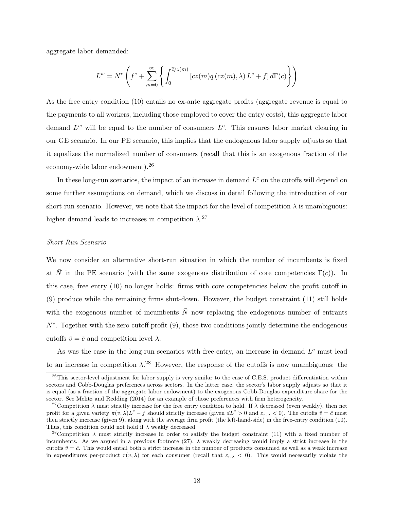aggregate labor demanded:

$$
L^{w} = N^{e} \left( f^{e} + \sum_{m=0}^{\infty} \left\{ \int_{0}^{\tilde{c}/z(m)} \left[ cz(m)q\left(cz(m), \lambda\right) L^{c} + f \right] d\Gamma(c) \right\} \right)
$$

As the free entry condition (10) entails no ex-ante aggregate profits (aggregate revenue is equal to the payments to all workers, including those employed to cover the entry costs), this aggregate labor demand  $L^w$  will be equal to the number of consumers  $L^c$ . This ensures labor market clearing in our GE scenario. In our PE scenario, this implies that the endogenous labor supply adjusts so that it equalizes the normalized number of consumers (recall that this is an exogenous fraction of the economy-wide labor endowment).<sup>26</sup>

In these long-run scenarios, the impact of an increase in demand  $L<sup>c</sup>$  on the cutoffs will depend on some further assumptions on demand, which we discuss in detail following the introduction of our short-run scenario. However, we note that the impact for the level of competition  $\lambda$  is unambiguous: higher demand leads to increases in competition  $\lambda$ <sup>27</sup>

#### Short-Run Scenario

We now consider an alternative short-run situation in which the number of incumbents is fixed at  $\overline{N}$  in the PE scenario (with the same exogenous distribution of core competencies  $\Gamma(c)$ ). In this case, free entry (10) no longer holds: firms with core competencies below the profit cutoff in (9) produce while the remaining firms shut-down. However, the budget constraint (11) still holds with the exogenous number of incumbents  $\overline{N}$  now replacing the endogenous number of entrants  $N<sup>e</sup>$ . Together with the zero cutoff profit (9), those two conditions jointly determine the endogenous cutoffs  $\hat{v} = \hat{c}$  and competition level  $\lambda$ .

As was the case in the long-run scenarios with free-entry, an increase in demand  $L<sup>c</sup>$  must lead to an increase in competition  $\lambda$ <sup>28</sup> However, the response of the cutoffs is now unambiguous: the

 $^{26}$ This sector-level adjustment for labor supply is very similar to the case of C.E.S. product differentiation within sectors and Cobb-Douglas preferences across sectors. In the latter case, the sector's labor supply adjusts so that it is equal (as a fraction of the aggregate labor endowment) to the exogenous Cobb-Douglas expenditure share for the sector. See Melitz and Redding (2014) for an example of those preferences with firm heterogeneity.

<sup>&</sup>lt;sup>27</sup>Competition  $\lambda$  must strictly increase for the free entry condition to hold. If  $\lambda$  decreased (even weakly), then net profit for a given variety  $\pi(v, \lambda)L^c - f$  should strictly increase (given  $dL^c > 0$  and  $\varepsilon_{\pi, \lambda} < 0$ ). The cutoffs  $\hat{v} = \hat{c}$  must then strictly increase (given 9); along with the average firm profit (the left-hand-side) in the free-entry condition (10). Thus, this condition could not hold if  $\lambda$  weakly decreased.

<sup>&</sup>lt;sup>28</sup>Competition  $\lambda$  must strictly increase in order to satisfy the budget constraint (11) with a fixed number of incumbents. As we argued in a previous footnote (27),  $\lambda$  weakly decreasing would imply a strict increase in the cutoffs  $\hat{v} = \hat{c}$ . This would entail both a strict increase in the number of products consumed as well as a weak increase in expenditures per-product  $r(v, \lambda)$  for each consumer (recall that  $\varepsilon_{r,\lambda} < 0$ ). This would necessarily violate the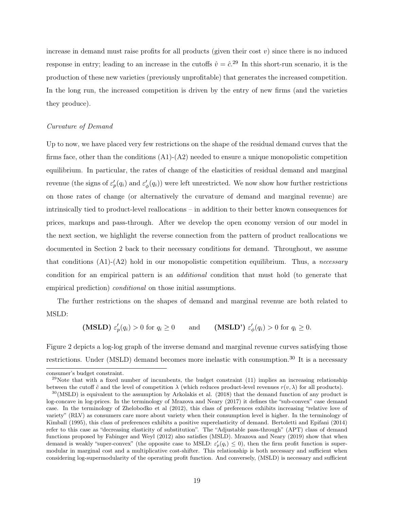increase in demand must raise profits for all products (given their cost  $v$ ) since there is no induced response in entry; leading to an increase in the cutoffs  $\hat{v} = \hat{c}^{29}$ . In this short-run scenario, it is the production of these new varieties (previously unprofitable) that generates the increased competition. In the long run, the increased competition is driven by the entry of new firms (and the varieties they produce).

#### Curvature of Demand

Up to now, we have placed very few restrictions on the shape of the residual demand curves that the firms face, other than the conditions  $(A1)-(A2)$  needed to ensure a unique monopolistic competition equilibrium. In particular, the rates of change of the elasticities of residual demand and marginal revenue (the signs of  $\varepsilon_p'(q_i)$  and  $\varepsilon_\phi'(q_i)$ ) were left unrestricted. We now show how further restrictions on those rates of change (or alternatively the curvature of demand and marginal revenue) are intrinsically tied to product-level reallocations – in addition to their better known consequences for prices, markups and pass-through. After we develop the open economy version of our model in the next section, we highlight the reverse connection from the pattern of product reallocations we documented in Section 2 back to their necessary conditions for demand. Throughout, we assume that conditions  $(A1)-(A2)$  hold in our monopolistic competition equilibrium. Thus, a necessary condition for an empirical pattern is an additional condition that must hold (to generate that empirical prediction) *conditional* on those initial assumptions.

The further restrictions on the shapes of demand and marginal revenue are both related to MSLD:

(MSLD) 
$$
\varepsilon'_p(q_i) > 0
$$
 for  $q_i \ge 0$  and (MSLD')  $\varepsilon'_\phi(q_i) > 0$  for  $q_i \ge 0$ .

Figure 2 depicts a log-log graph of the inverse demand and marginal revenue curves satisfying those restrictions. Under (MSLD) demand becomes more inelastic with consumption.<sup>30</sup> It is a necessary

consumer's budget constraint.

 $29$ Note that with a fixed number of incumbents, the budget constraint (11) implies an increasing relationship between the cutoff  $\hat{c}$  and the level of competition  $\lambda$  (which reduces product-level revenues  $r(v, \lambda)$  for all products).

 $30(MSLD)$  is equivalent to the assumption by Arkolakis et al. (2018) that the demand function of any product is log-concave in log-prices. In the terminology of Mrazova and Neary (2017) it defines the "sub-convex" case demand case. In the terminology of Zhelobodko et al (2012), this class of preferences exhibits increasing "relative love of variety" (RLV) as consumers care more about variety when their consumption level is higher. In the terminology of Kimball (1995), this class of preferences exhibits a positive superelasticity of demand. Bertoletti and Epifani (2014) refer to this case as "decreasing elasticity of substitution". The "Adjustable pass-through" (APT) class of demand functions proposed by Fabinger and Weyl (2012) also satisfies (MSLD). Mrazova and Neary (2019) show that when demand is weakly "super-convex" (the opposite case to MSLD:  $\varepsilon_p'(q_i) \leq 0$ ), then the firm profit function is supermodular in marginal cost and a multiplicative cost-shifter. This relationship is both necessary and sufficient when considering log-supermodularity of the operating profit function. And conversely, (MSLD) is necessary and sufficient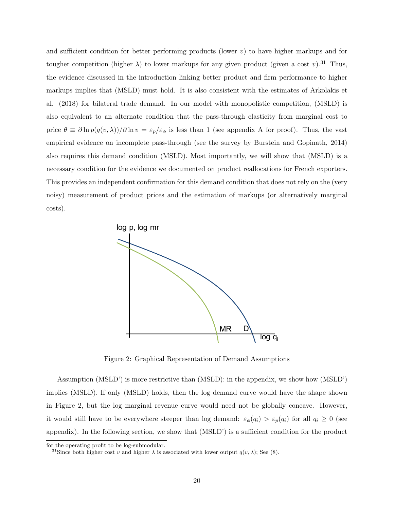and sufficient condition for better performing products (lower  $v$ ) to have higher markups and for tougher competition (higher  $\lambda$ ) to lower markups for any given product (given a cost v).<sup>31</sup> Thus, the evidence discussed in the introduction linking better product and firm performance to higher markups implies that (MSLD) must hold. It is also consistent with the estimates of Arkolakis et al. (2018) for bilateral trade demand. In our model with monopolistic competition, (MSLD) is also equivalent to an alternate condition that the pass-through elasticity from marginal cost to price  $\theta \equiv \partial \ln p(q(v,\lambda))/\partial \ln v = \epsilon_p/\epsilon_{\phi}$  is less than 1 (see appendix A for proof). Thus, the vast empirical evidence on incomplete pass-through (see the survey by Burstein and Gopinath, 2014) also requires this demand condition (MSLD). Most importantly, we will show that (MSLD) is a necessary condition for the evidence we documented on product reallocations for French exporters. This provides an independent confirmation for this demand condition that does not rely on the (very noisy) measurement of product prices and the estimation of markups (or alternatively marginal costs).



Figure 2: Graphical Representation of Demand Assumptions

Assumption (MSLD') is more restrictive than (MSLD): in the appendix, we show how (MSLD') implies (MSLD). If only (MSLD) holds, then the log demand curve would have the shape shown in Figure 2, but the log marginal revenue curve would need not be globally concave. However, it would still have to be everywhere steeper than log demand:  $\varepsilon_{\phi}(q_i) > \varepsilon_p(q_i)$  for all  $q_i \geq 0$  (see appendix). In the following section, we show that (MSLD') is a sufficient condition for the product

for the operating profit to be log-submodular.

<sup>&</sup>lt;sup>31</sup>Since both higher cost v and higher  $\lambda$  is associated with lower output  $q(v, \lambda)$ ; See (8).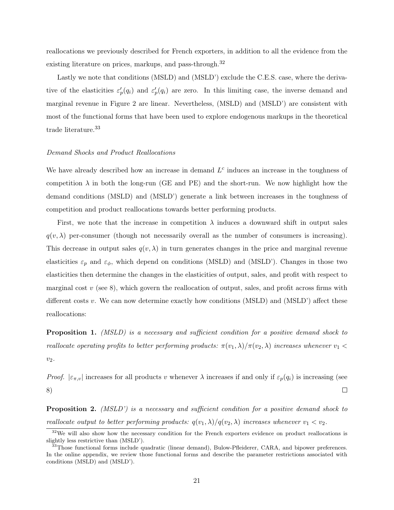reallocations we previously described for French exporters, in addition to all the evidence from the existing literature on prices, markups, and pass-through.<sup>32</sup>

Lastly we note that conditions (MSLD) and (MSLD') exclude the C.E.S. case, where the derivative of the elasticities  $\varepsilon'_p(q_i)$  and  $\varepsilon'_p(q_i)$  are zero. In this limiting case, the inverse demand and marginal revenue in Figure 2 are linear. Nevertheless, (MSLD) and (MSLD') are consistent with most of the functional forms that have been used to explore endogenous markups in the theoretical trade literature.<sup>33</sup>

#### Demand Shocks and Product Reallocations

We have already described how an increase in demand  $L<sup>c</sup>$  induces an increase in the toughness of competition  $\lambda$  in both the long-run (GE and PE) and the short-run. We now highlight how the demand conditions (MSLD) and (MSLD') generate a link between increases in the toughness of competition and product reallocations towards better performing products.

First, we note that the increase in competition  $\lambda$  induces a downward shift in output sales  $q(v, \lambda)$  per-consumer (though not necessarily overall as the number of consumers is increasing). This decrease in output sales  $q(v, \lambda)$  in turn generates changes in the price and marginal revenue elasticities  $\varepsilon_p$  and  $\varepsilon_{\phi}$ , which depend on conditions (MSLD) and (MSLD'). Changes in those two elasticities then determine the changes in the elasticities of output, sales, and profit with respect to marginal cost  $v$  (see 8), which govern the reallocation of output, sales, and profit across firms with different costs v. We can now determine exactly how conditions (MSLD) and (MSLD') affect these reallocations:

Proposition 1. (MSLD) is a necessary and sufficient condition for a positive demand shock to reallocate operating profits to better performing products:  $\pi(v_1, \lambda)/\pi(v_2, \lambda)$  increases whenever  $v_1$  $v_2$ .

*Proof.*  $|\varepsilon_{\pi,v}|$  increases for all products v whenever  $\lambda$  increases if and only if  $\varepsilon_p(q_i)$  is increasing (see 8)  $\Box$ 

**Proposition 2.** (MSLD') is a necessary and sufficient condition for a positive demand shock to reallocate output to better performing products:  $q(v_1, \lambda)/q(v_2, \lambda)$  increases whenever  $v_1 < v_2$ .

<sup>&</sup>lt;sup>32</sup>We will also show how the necessary condition for the French exporters evidence on product reallocations is slightly less restrictive than (MSLD').

<sup>&</sup>lt;sup>33</sup>Those functional forms include quadratic (linear demand), Bulow-Pfleiderer, CARA, and bipower preferences. In the online appendix, we review those functional forms and describe the parameter restrictions associated with conditions (MSLD) and (MSLD').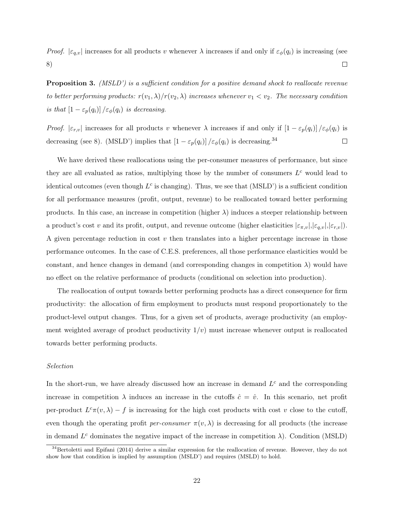*Proof.*  $|\varepsilon_{q,v}|$  increases for all products v whenever  $\lambda$  increases if and only if  $\varepsilon_{\phi}(q_i)$  is increasing (see 8)  $\Box$ 

**Proposition 3.** (MSLD') is a sufficient condition for a positive demand shock to reallocate revenue to better performing products:  $r(v_1, \lambda)/r(v_2, \lambda)$  increases whenever  $v_1 < v_2$ . The necessary condition is that  $\left[1 - \varepsilon_p(q_i)\right] / \varepsilon_\phi(q_i)$  is decreasing.

*Proof.*  $|\varepsilon_{r,v}|$  increases for all products v whenever  $\lambda$  increases if and only if  $[1-\varepsilon_p(q_i)]/\varepsilon_\phi(q_i)$  is decreasing (see 8). (MSLD') implies that  $\left[1 - \varepsilon_p(q_i)\right] / \varepsilon_\phi(q_i)$  is decreasing.<sup>34</sup>  $\Box$ 

We have derived these reallocations using the per-consumer measures of performance, but since they are all evaluated as ratios, multiplying those by the number of consumers  $L<sup>c</sup>$  would lead to identical outcomes (even though  $L^c$  is changing). Thus, we see that (MSLD') is a sufficient condition for all performance measures (profit, output, revenue) to be reallocated toward better performing products. In this case, an increase in competition (higher  $\lambda$ ) induces a steeper relationship between a product's cost v and its profit, output, and revenue outcome (higher elasticities  $|\varepsilon_{\pi,v}|,|\varepsilon_{q,v}|,|\varepsilon_{r,v}|$ ). A given percentage reduction in cost  $v$  then translates into a higher percentage increase in those performance outcomes. In the case of C.E.S. preferences, all those performance elasticities would be constant, and hence changes in demand (and corresponding changes in competition  $\lambda$ ) would have no effect on the relative performance of products (conditional on selection into production).

The reallocation of output towards better performing products has a direct consequence for firm productivity: the allocation of firm employment to products must respond proportionately to the product-level output changes. Thus, for a given set of products, average productivity (an employment weighted average of product productivity  $1/v$ ) must increase whenever output is reallocated towards better performing products.

#### Selection

In the short-run, we have already discussed how an increase in demand  $L<sup>c</sup>$  and the corresponding increase in competition  $\lambda$  induces an increase in the cutoffs  $\hat{c} = \hat{v}$ . In this scenario, net profit per-product  $L^c \pi(v, \lambda) - f$  is increasing for the high cost products with cost v close to the cutoff, even though the operating profit per-consumer  $\pi(v, \lambda)$  is decreasing for all products (the increase in demand  $L^c$  dominates the negative impact of the increase in competition  $\lambda$ ). Condition (MSLD)

<sup>&</sup>lt;sup>34</sup>Bertoletti and Epifani (2014) derive a similar expression for the reallocation of revenue. However, they do not show how that condition is implied by assumption (MSLD') and requires (MSLD) to hold.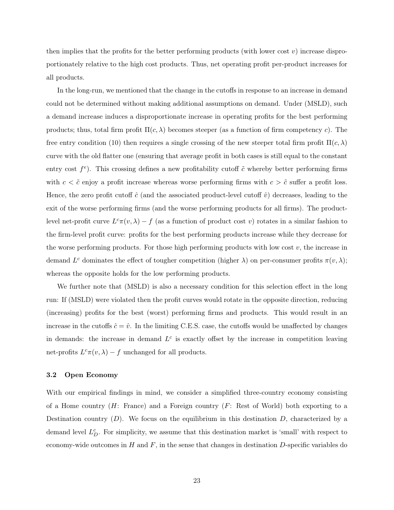then implies that the profits for the better performing products (with lower cost  $v$ ) increase disproportionately relative to the high cost products. Thus, net operating profit per-product increases for all products.

In the long-run, we mentioned that the change in the cutoffs in response to an increase in demand could not be determined without making additional assumptions on demand. Under (MSLD), such a demand increase induces a disproportionate increase in operating profits for the best performing products; thus, total firm profit  $\Pi(c,\lambda)$  becomes steeper (as a function of firm competency c). The free entry condition (10) then requires a single crossing of the new steeper total firm profit  $\Pi(c,\lambda)$ curve with the old flatter one (ensuring that average profit in both cases is still equal to the constant entry cost  $f^e$ ). This crossing defines a new profitability cutoff  $\tilde{c}$  whereby better performing firms with  $c < \tilde{c}$  enjoy a profit increase whereas worse performing firms with  $c > \tilde{c}$  suffer a profit loss. Hence, the zero profit cutoff  $\hat{c}$  (and the associated product-level cutoff  $\hat{v}$ ) decreases, leading to the exit of the worse performing firms (and the worse performing products for all firms). The productlevel net-profit curve  $L^c\pi(v,\lambda) - f$  (as a function of product cost v) rotates in a similar fashion to the firm-level profit curve: profits for the best performing products increase while they decrease for the worse performing products. For those high performing products with low cost  $v$ , the increase in demand L<sup>c</sup> dominates the effect of tougher competition (higher  $\lambda$ ) on per-consumer profits  $\pi(v, \lambda)$ ; whereas the opposite holds for the low performing products.

We further note that (MSLD) is also a necessary condition for this selection effect in the long run: If (MSLD) were violated then the profit curves would rotate in the opposite direction, reducing (increasing) profits for the best (worst) performing firms and products. This would result in an increase in the cutoffs  $\hat{c} = \hat{v}$ . In the limiting C.E.S. case, the cutoffs would be unaffected by changes in demands: the increase in demand  $L^c$  is exactly offset by the increase in competition leaving net-profits  $L^c \pi(v, \lambda) - f$  unchanged for all products.

#### 3.2 Open Economy

With our empirical findings in mind, we consider a simplified three-country economy consisting of a Home country  $(H: \text{France})$  and a Foreign country  $(F: \text{Rest of World})$  both exporting to a Destination country  $(D)$ . We focus on the equilibrium in this destination D, characterized by a demand level  $L_D^c$ . For simplicity, we assume that this destination market is 'small' with respect to economy-wide outcomes in  $H$  and  $F$ , in the sense that changes in destination  $D$ -specific variables do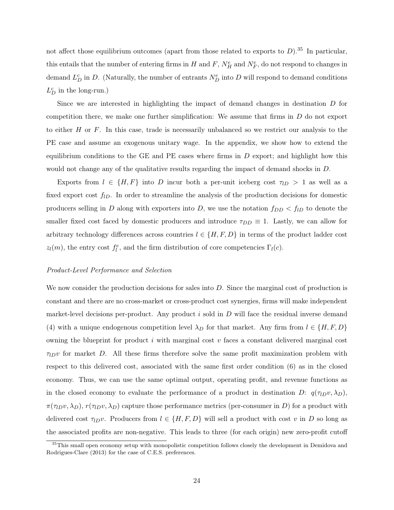not affect those equilibrium outcomes (apart from those related to exports to  $D$ ).<sup>35</sup> In particular, this entails that the number of entering firms in H and F,  $N_H^e$  and  $N_F^e$ , do not respond to changes in demand  $L_D^c$  in D. (Naturally, the number of entrants  $N_D^e$  into D will respond to demand conditions  $L_D^c$  in the long-run.)

Since we are interested in highlighting the impact of demand changes in destination D for competition there, we make one further simplification: We assume that firms in  $D$  do not export to either  $H$  or  $F$ . In this case, trade is necessarily unbalanced so we restrict our analysis to the PE case and assume an exogenous unitary wage. In the appendix, we show how to extend the equilibrium conditions to the GE and PE cases where firms in  $D$  export; and highlight how this would not change any of the qualitative results regarding the impact of demand shocks in D.

Exports from  $l \in \{H, F\}$  into D incur both a per-unit iceberg cost  $\tau_{lD} > 1$  as well as a fixed export cost  $f_{1D}$ . In order to streamline the analysis of the production decisions for domestic producers selling in D along with exporters into D, we use the notation  $f_{DD} < f_{ID}$  to denote the smaller fixed cost faced by domestic producers and introduce  $\tau_{DD} \equiv 1$ . Lastly, we can allow for arbitrary technology differences across countries  $l \in \{H, F, D\}$  in terms of the product ladder cost  $z_l(m)$ , the entry cost  $f_l^e$ , and the firm distribution of core competencies  $\Gamma_l(c)$ .

#### Product-Level Performance and Selection

We now consider the production decisions for sales into D. Since the marginal cost of production is constant and there are no cross-market or cross-product cost synergies, firms will make independent market-level decisions per-product. Any product  $i$  sold in  $D$  will face the residual inverse demand (4) with a unique endogenous competition level  $\lambda_D$  for that market. Any firm from  $l \in \{H, F, D\}$ owning the blueprint for product i with marginal cost  $v$  faces a constant delivered marginal cost  $\tau_{1D}v$  for market D. All these firms therefore solve the same profit maximization problem with respect to this delivered cost, associated with the same first order condition (6) as in the closed economy. Thus, we can use the same optimal output, operating profit, and revenue functions as in the closed economy to evaluate the performance of a product in destination D:  $q(\tau_D v, \lambda_D)$ ,  $\pi(\tau_{1D}v, \lambda_D)$ ,  $r(\tau_{1D}v, \lambda_D)$  capture those performance metrics (per-consumer in D) for a product with delivered cost  $\tau_{1D}v$ . Producers from  $l \in \{H, F, D\}$  will sell a product with cost v in D so long as the associated profits are non-negative. This leads to three (for each origin) new zero-profit cutoff

<sup>&</sup>lt;sup>35</sup>This small open economy setup with monopolistic competition follows closely the development in Demidova and Rodrigues-Clare (2013) for the case of C.E.S. preferences.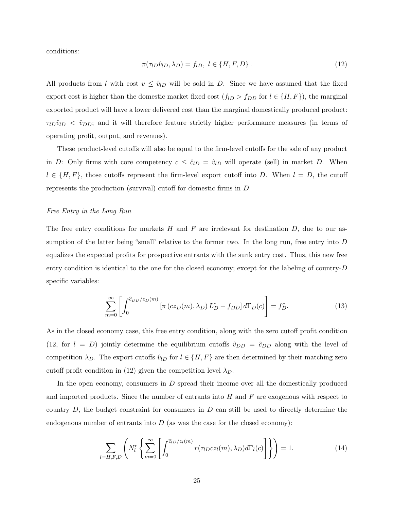conditions:

$$
\pi(\tau_{lD}\hat{v}_{lD}, \lambda_D) = f_{lD}, \ l \in \{H, F, D\}.
$$
\n
$$
(12)
$$

All products from l with cost  $v \leq \hat{v}_{1D}$  will be sold in D. Since we have assumed that the fixed export cost is higher than the domestic market fixed cost  $(f_{ID} > f_{DD}$  for  $l \in \{H, F\})$ , the marginal exported product will have a lower delivered cost than the marginal domestically produced product:  $\tau_{1D}\hat{v}_{1D} < \hat{v}_{DD}$ ; and it will therefore feature strictly higher performance measures (in terms of operating profit, output, and revenues).

These product-level cutoffs will also be equal to the firm-level cutoffs for the sale of any product in D: Only firms with core competency  $c \leq \hat{c}_{1D} = \hat{v}_{1D}$  will operate (sell) in market D. When  $l \in \{H, F\}$ , those cutoffs represent the firm-level export cutoff into D. When  $l = D$ , the cutoff represents the production (survival) cutoff for domestic firms in D.

#### Free Entry in the Long Run

The free entry conditions for markets  $H$  and  $F$  are irrelevant for destination  $D$ , due to our assumption of the latter being "small' relative to the former two. In the long run, free entry into D equalizes the expected profits for prospective entrants with the sunk entry cost. Thus, this new free entry condition is identical to the one for the closed economy; except for the labeling of country-D specific variables:

$$
\sum_{m=0}^{\infty} \left[ \int_0^{\widehat{c}_{DD}/z_D(m)} \left[ \pi \left( cz_D(m), \lambda_D \right) L_D^c - f_{DD} \right] d\Gamma_D(c) \right] = f_D^e. \tag{13}
$$

As in the closed economy case, this free entry condition, along with the zero cutoff profit condition (12, for  $l = D$ ) jointly determine the equilibrium cutoffs  $\hat{v}_{DD} = \hat{c}_{DD}$  along with the level of competition  $\lambda_D$ . The export cutoffs  $\hat{v}_{iD}$  for  $l \in \{H, F\}$  are then determined by their matching zero cutoff profit condition in (12) given the competition level  $\lambda_D$ .

In the open economy, consumers in D spread their income over all the domestically produced and imported products. Since the number of entrants into  $H$  and  $F$  are exogenous with respect to country  $D$ , the budget constraint for consumers in  $D$  can still be used to directly determine the endogenous number of entrants into  $D$  (as was the case for the closed economy):

$$
\sum_{l=H,F,D} \left( N_l^e \left\{ \sum_{m=0}^{\infty} \left[ \int_0^{\widehat{c}_{lD}/z_l(m)} r(\tau_{lD}cz_l(m), \lambda_D) d\Gamma_l(c) \right] \right\} \right) = 1.
$$
 (14)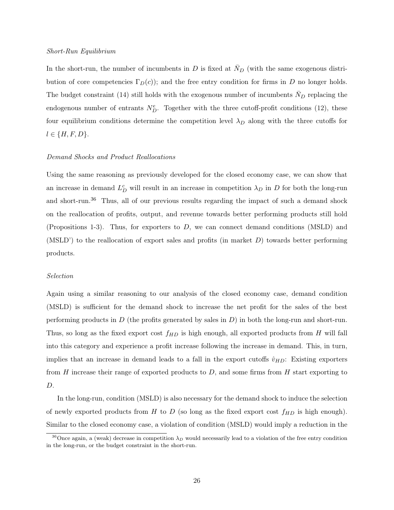#### Short-Run Equilibrium

In the short-run, the number of incumbents in D is fixed at  $\bar{N}_D$  (with the same exogenous distribution of core competencies  $\Gamma_D(c)$ ; and the free entry condition for firms in D no longer holds. The budget constraint (14) still holds with the exogenous number of incumbents  $\bar{N}_D$  replacing the endogenous number of entrants  $N_D^e$ . Together with the three cutoff-profit conditions (12), these four equilibrium conditions determine the competition level  $\lambda_D$  along with the three cutoffs for  $l \in \{H, F, D\}.$ 

#### Demand Shocks and Product Reallocations

Using the same reasoning as previously developed for the closed economy case, we can show that an increase in demand  $L_D^c$  will result in an increase in competition  $\lambda_D$  in D for both the long-run and short-run.<sup>36</sup> Thus, all of our previous results regarding the impact of such a demand shock on the reallocation of profits, output, and revenue towards better performing products still hold (Propositions 1-3). Thus, for exporters to D, we can connect demand conditions (MSLD) and (MSLD') to the reallocation of export sales and profits (in market  $D$ ) towards better performing products.

#### Selection

Again using a similar reasoning to our analysis of the closed economy case, demand condition (MSLD) is sufficient for the demand shock to increase the net profit for the sales of the best performing products in  $D$  (the profits generated by sales in  $D$ ) in both the long-run and short-run. Thus, so long as the fixed export cost  $f_{HD}$  is high enough, all exported products from H will fall into this category and experience a profit increase following the increase in demand. This, in turn, implies that an increase in demand leads to a fall in the export cutoffs  $\hat{v}_{HD}$ : Existing exporters from  $H$  increase their range of exported products to  $D$ , and some firms from  $H$  start exporting to D.

In the long-run, condition (MSLD) is also necessary for the demand shock to induce the selection of newly exported products from H to D (so long as the fixed export cost  $f_{HD}$  is high enough). Similar to the closed economy case, a violation of condition (MSLD) would imply a reduction in the

<sup>&</sup>lt;sup>36</sup>Once again, a (weak) decrease in competition  $\lambda_D$  would necessarily lead to a violation of the free entry condition in the long-run, or the budget constraint in the short-run.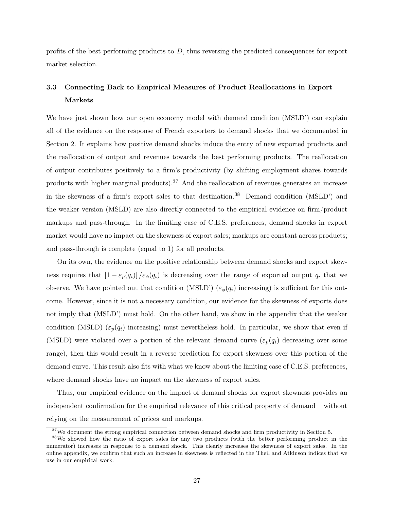profits of the best performing products to D, thus reversing the predicted consequences for export market selection.

# 3.3 Connecting Back to Empirical Measures of Product Reallocations in Export Markets

We have just shown how our open economy model with demand condition (MSLD') can explain all of the evidence on the response of French exporters to demand shocks that we documented in Section 2. It explains how positive demand shocks induce the entry of new exported products and the reallocation of output and revenues towards the best performing products. The reallocation of output contributes positively to a firm's productivity (by shifting employment shares towards products with higher marginal products).<sup>37</sup> And the reallocation of revenues generates an increase in the skewness of a firm's export sales to that destination.<sup>38</sup> Demand condition  $(MSLD')$  and the weaker version (MSLD) are also directly connected to the empirical evidence on firm/product markups and pass-through. In the limiting case of C.E.S. preferences, demand shocks in export market would have no impact on the skewness of export sales; markups are constant across products; and pass-through is complete (equal to 1) for all products.

On its own, the evidence on the positive relationship between demand shocks and export skewness requires that  $[1 - \varepsilon_p(q_i)]/\varepsilon_\phi(q_i)$  is decreasing over the range of exported output  $q_i$  that we observe. We have pointed out that condition (MSLD') ( $\varepsilon_{\phi}(q_i)$  increasing) is sufficient for this outcome. However, since it is not a necessary condition, our evidence for the skewness of exports does not imply that (MSLD') must hold. On the other hand, we show in the appendix that the weaker condition (MSLD) ( $\varepsilon_p(q_i)$  increasing) must nevertheless hold. In particular, we show that even if (MSLD) were violated over a portion of the relevant demand curve  $(\varepsilon_p(q_i))$  decreasing over some range), then this would result in a reverse prediction for export skewness over this portion of the demand curve. This result also fits with what we know about the limiting case of C.E.S. preferences, where demand shocks have no impact on the skewness of export sales.

Thus, our empirical evidence on the impact of demand shocks for export skewness provides an independent confirmation for the empirical relevance of this critical property of demand – without relying on the measurement of prices and markups.

<sup>&</sup>lt;sup>37</sup>We document the strong empirical connection between demand shocks and firm productivity in Section 5.

<sup>&</sup>lt;sup>38</sup>We showed how the ratio of export sales for any two products (with the better performing product in the numerator) increases in response to a demand shock. This clearly increases the skewness of export sales. In the online appendix, we confirm that such an increase in skewness is reflected in the Theil and Atkinson indices that we use in our empirical work.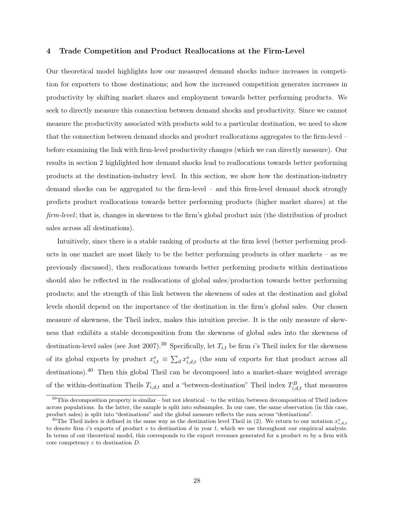#### 4 Trade Competition and Product Reallocations at the Firm-Level

Our theoretical model highlights how our measured demand shocks induce increases in competition for exporters to those destinations; and how the increased competition generates increases in productivity by shifting market shares and employment towards better performing products. We seek to directly measure this connection between demand shocks and productivity. Since we cannot measure the productivity associated with products sold to a particular destination, we need to show that the connection between demand shocks and product reallocations aggregates to the firm-level – before examining the link with firm-level productivity changes (which we can directly measure). Our results in section 2 highlighted how demand shocks lead to reallocations towards better performing products at the destination-industry level. In this section, we show how the destination-industry demand shocks can be aggregated to the firm-level – and this firm-level demand shock strongly predicts product reallocations towards better performing products (higher market shares) at the firm-level; that is, changes in skewness to the firm's global product mix (the distribution of product sales across all destinations).

Intuitively, since there is a stable ranking of products at the firm level (better performing products in one market are most likely to be the better performing products in other markets – as we previously discussed), then reallocations towards better performing products within destinations should also be reflected in the reallocations of global sales/production towards better performing products; and the strength of this link between the skewness of sales at the destination and global levels should depend on the importance of the destination in the firm's global sales. Our chosen measure of skewness, the Theil index, makes this intuition precise. It is the only measure of skewness that exhibits a stable decomposition from the skewness of global sales into the skewness of destination-level sales (see Jost 2007).<sup>39</sup> Specifically, let  $T_{i,t}$  be firm i's Theil index for the skewness of its global exports by product  $x_{i,t}^s \equiv \sum_d x_{i,d,t}^s$  (the sum of exports for that product across all destinations).<sup>40</sup> Then this global Theil can be decomposed into a market-share weighted average of the within-destination Theils  $T_{i,d,t}$  and a "between-destination" Theil index  $T_{i,d,t}^B$  that measures

 $39$ This decomposition property is similar – but not identical – to the within/between decomposition of Theil indices across populations. In the latter, the sample is split into subsamples. In our case, the same observation (in this case, product sales) is split into "destinations" and the global measure reflects the sum across "destinations".

<sup>&</sup>lt;sup>40</sup>The Theil index is defined in the same way as the destination level Theil in (2). We return to our notation  $x_{i,d,t}^s$ to denote firm  $i$ 's exports of product s to destination  $d$  in year  $t$ , which we use throughout our empirical analysis. In terms of our theoretical model, this corresponds to the export revenues generated for a product m by a firm with core competency c to destination D.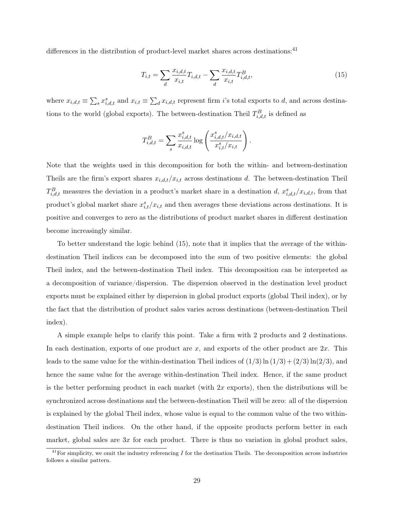differences in the distribution of product-level market shares across destinations:<sup>41</sup>

$$
T_{i,t} = \sum_{d} \frac{x_{i,d,t}}{x_{i,t}} T_{i,d,t} - \sum_{d} \frac{x_{i,d,t}}{x_{i,t}} T_{i,d,t}^B,
$$
\n(15)

where  $x_{i,d,t} \equiv \sum_s x_{i,d,t}^s$  and  $x_{i,t} \equiv \sum_d x_{i,d,t}$  represent firm i's total exports to d, and across destinations to the world (global exports). The between-destination Theil  $T_{i,d,t}^B$  is defined as

$$
T_{i,d,t}^B = \sum_s \frac{x_{i,d,t}^s}{x_{i,d,t}} \log \left( \frac{x_{i,d,t}^s / x_{i,d,t}}{x_{i,t}^s / x_{i,t}} \right).
$$

Note that the weights used in this decomposition for both the within- and between-destination Theils are the firm's export shares  $x_{i,d,t}/x_{i,t}$  across destinations d. The between-destination Theil  $T_{i,d,t}^B$  measures the deviation in a product's market share in a destination d,  $x_{i,d,t}^s/x_{i,d,t}$ , from that product's global market share  $x_{i,t}^s/x_{i,t}$  and then averages these deviations across destinations. It is positive and converges to zero as the distributions of product market shares in different destination become increasingly similar.

To better understand the logic behind (15), note that it implies that the average of the withindestination Theil indices can be decomposed into the sum of two positive elements: the global Theil index, and the between-destination Theil index. This decomposition can be interpreted as a decomposition of variance/dispersion. The dispersion observed in the destination level product exports must be explained either by dispersion in global product exports (global Theil index), or by the fact that the distribution of product sales varies across destinations (between-destination Theil index).

A simple example helps to clarify this point. Take a firm with 2 products and 2 destinations. In each destination, exports of one product are  $x$ , and exports of the other product are  $2x$ . This leads to the same value for the within-destination Theil indices of  $(1/3) \ln(1/3) + (2/3) \ln(2/3)$ , and hence the same value for the average within-destination Theil index. Hence, if the same product is the better performing product in each market (with  $2x$  exports), then the distributions will be synchronized across destinations and the between-destination Theil will be zero: all of the dispersion is explained by the global Theil index, whose value is equal to the common value of the two withindestination Theil indices. On the other hand, if the opposite products perform better in each market, global sales are  $3x$  for each product. There is thus no variation in global product sales,

 $^{41}$ For simplicity, we omit the industry referencing I for the destination Theils. The decomposition across industries follows a similar pattern.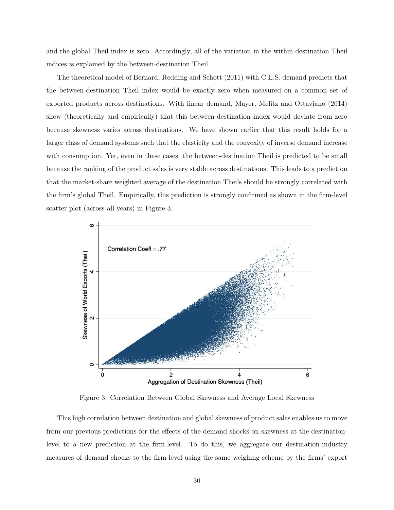and the global Theil index is zero. Accordingly, all of the variation in the within-destination Theil indices is explained by the between-destination Theil.

The theoretical model of Bernard, Redding and Schott (2011) with C.E.S. demand predicts that the between-destination Theil index would be exactly zero when measured on a common set of exported products across destinations. With linear demand, Mayer, Melitz and Ottaviano (2014) show (theoretically and empirically) that this between-destination index would deviate from zero because skewness varies across destinations. We have shown earlier that this result holds for a larger class of demand systems such that the elasticity and the convexity of inverse demand increase with consumption. Yet, even in these cases, the between-destination Theil is predicted to be small because the ranking of the product sales is very stable across destinations. This leads to a prediction that the market-share weighted average of the destination Theils should be strongly correlated with the firm's global Theil. Empirically, this prediction is strongly confirmed as shown in the firm-level scatter plot (across all years) in Figure 3.



Figure 3: Correlation Between Global Skewness and Average Local Skewness

This high correlation between destination and global skewness of product sales enables us to move from our previous predictions for the effects of the demand shocks on skewness at the destinationlevel to a new prediction at the firm-level. To do this, we aggregate our destination-industry measures of demand shocks to the firm-level using the same weighing scheme by the firms' export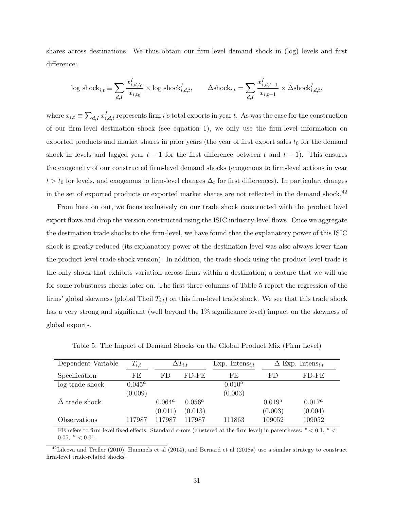shares across destinations. We thus obtain our firm-level demand shock in (log) levels and first difference:

$$
\log \text{shock}_{i,t} \equiv \sum_{d,I} \frac{x_{i,d,t_0}^I}{x_{i,t_0}} \times \log \text{shock}_{i,d,t}^I, \qquad \tilde{\Delta} \text{shock}_{i,t} = \sum_{d,I} \frac{x_{i,d,t-1}^I}{x_{i,t-1}} \times \tilde{\Delta} \text{shock}_{i,d,t}^I,
$$

where  $x_{i,t} \equiv \sum_{d,I} x_{i,d,t}^I$  represents firm i's total exports in year t. As was the case for the construction of our firm-level destination shock (see equation 1), we only use the firm-level information on exported products and market shares in prior years (the year of first export sales  $t_0$  for the demand shock in levels and lagged year  $t-1$  for the first difference between t and  $t-1$ ). This ensures the exogeneity of our constructed firm-level demand shocks (exogenous to firm-level actions in year  $t > t_0$  for levels, and exogenous to firm-level changes  $\Delta_t$  for first differences). In particular, changes in the set of exported products or exported market shares are not reflected in the demand shock.<sup>42</sup>

From here on out, we focus exclusively on our trade shock constructed with the product level export flows and drop the version constructed using the ISIC industry-level flows. Once we aggregate the destination trade shocks to the firm-level, we have found that the explanatory power of this ISIC shock is greatly reduced (its explanatory power at the destination level was also always lower than the product level trade shock version). In addition, the trade shock using the product-level trade is the only shock that exhibits variation across firms within a destination; a feature that we will use for some robustness checks later on. The first three columns of Table 5 report the regression of the firms' global skewness (global Theil  $T_{i,t}$ ) on this firm-level trade shock. We see that this trade shock has a very strong and significant (well beyond the  $1\%$  significance level) impact on the skewness of global exports.

| Dependent Variable | $T_{i,t}$ |                 | $\Delta T_{i,t}$ | Exp. Intens <sub>i,t</sub> |           | $\Delta$ Exp. Intens <sub>it</sub> |
|--------------------|-----------|-----------------|------------------|----------------------------|-----------|------------------------------------|
| Specification      | FE        | FD              | FD-FE            | FE                         | FD        | FD-FE                              |
| log trade shock    | $0.045^a$ |                 |                  | $0.010^a$                  |           |                                    |
|                    | (0.009)   |                 |                  | (0.003)                    |           |                                    |
| trade shock        |           | $0.064^{\circ}$ | $0.056^a$        |                            | $0.019^a$ | $0.017^a$                          |
|                    |           | (0.011)         | (0.013)          |                            | (0.003)   | (0.004)                            |
| Observations       | 117987    | 117987          | 117987           | 111863                     | 109052    | 109052                             |

Table 5: The Impact of Demand Shocks on the Global Product Mix (Firm Level)

FE refers to firm-level fixed effects. Standard errors (clustered at the firm level) in parentheses:  $c < 0.1$ ,  $b <$ 0.05,  $\alpha$  < 0.01.

 $^{42}$ Lileeva and Trefler (2010), Hummels et al (2014), and Bernard et al (2018a) use a similar strategy to construct firm-level trade-related shocks.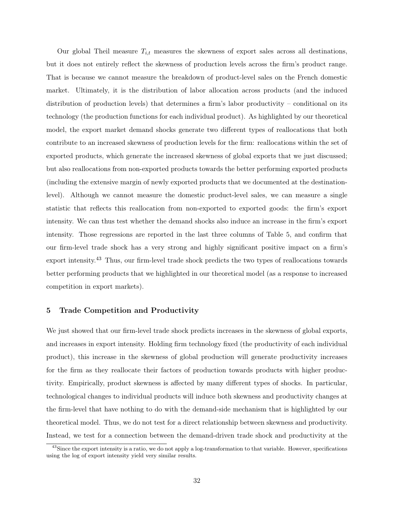Our global Theil measure  $T_{i,t}$  measures the skewness of export sales across all destinations, but it does not entirely reflect the skewness of production levels across the firm's product range. That is because we cannot measure the breakdown of product-level sales on the French domestic market. Ultimately, it is the distribution of labor allocation across products (and the induced distribution of production levels) that determines a firm's labor productivity – conditional on its technology (the production functions for each individual product). As highlighted by our theoretical model, the export market demand shocks generate two different types of reallocations that both contribute to an increased skewness of production levels for the firm: reallocations within the set of exported products, which generate the increased skewness of global exports that we just discussed; but also reallocations from non-exported products towards the better performing exported products (including the extensive margin of newly exported products that we documented at the destinationlevel). Although we cannot measure the domestic product-level sales, we can measure a single statistic that reflects this reallocation from non-exported to exported goods: the firm's export intensity. We can thus test whether the demand shocks also induce an increase in the firm's export intensity. Those regressions are reported in the last three columns of Table 5, and confirm that our firm-level trade shock has a very strong and highly significant positive impact on a firm's export intensity.<sup>43</sup> Thus, our firm-level trade shock predicts the two types of reallocations towards better performing products that we highlighted in our theoretical model (as a response to increased competition in export markets).

#### 5 Trade Competition and Productivity

We just showed that our firm-level trade shock predicts increases in the skewness of global exports, and increases in export intensity. Holding firm technology fixed (the productivity of each individual product), this increase in the skewness of global production will generate productivity increases for the firm as they reallocate their factors of production towards products with higher productivity. Empirically, product skewness is affected by many different types of shocks. In particular, technological changes to individual products will induce both skewness and productivity changes at the firm-level that have nothing to do with the demand-side mechanism that is highlighted by our theoretical model. Thus, we do not test for a direct relationship between skewness and productivity. Instead, we test for a connection between the demand-driven trade shock and productivity at the

 $^{43}$ Since the export intensity is a ratio, we do not apply a log-transformation to that variable. However, specifications using the log of export intensity yield very similar results.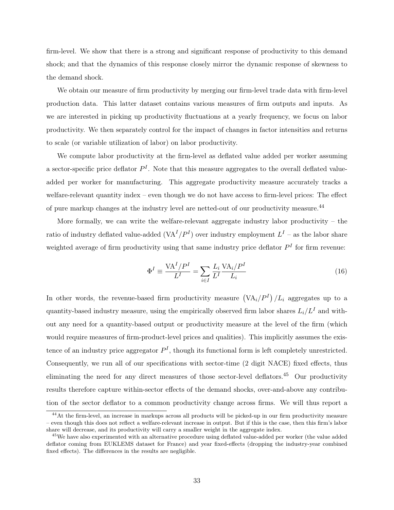firm-level. We show that there is a strong and significant response of productivity to this demand shock; and that the dynamics of this response closely mirror the dynamic response of skewness to the demand shock.

We obtain our measure of firm productivity by merging our firm-level trade data with firm-level production data. This latter dataset contains various measures of firm outputs and inputs. As we are interested in picking up productivity fluctuations at a yearly frequency, we focus on labor productivity. We then separately control for the impact of changes in factor intensities and returns to scale (or variable utilization of labor) on labor productivity.

We compute labor productivity at the firm-level as deflated value added per worker assuming a sector-specific price deflator  $P<sup>I</sup>$ . Note that this measure aggregates to the overall deflated valueadded per worker for manufacturing. This aggregate productivity measure accurately tracks a welfare-relevant quantity index – even though we do not have access to firm-level prices: The effect of pure markup changes at the industry level are netted-out of our productivity measure.<sup>44</sup>

More formally, we can write the welfare-relevant aggregate industry labor productivity  $-$  the ratio of industry deflated value-added  $(\text{VA}^I/P^I)$  over industry employment  $L^I$  – as the labor share weighted average of firm productivity using that same industry price deflator  $P<sup>I</sup>$  for firm revenue:

$$
\Phi^I \equiv \frac{VA^I/P^I}{L^I} = \sum_{i \in I} \frac{L_i}{L^I} \frac{VA_i/P^I}{L_i} \tag{16}
$$

In other words, the revenue-based firm productivity measure  $(NA_i/P<sup>I</sup>)/L_i$  aggregates up to a quantity-based industry measure, using the empirically observed firm labor shares  $L_i/L<sup>I</sup>$  and without any need for a quantity-based output or productivity measure at the level of the firm (which would require measures of firm-product-level prices and qualities). This implicitly assumes the existence of an industry price aggregator  $P<sup>I</sup>$ , though its functional form is left completely unrestricted. Consequently, we run all of our specifications with sector-time (2 digit NACE) fixed effects, thus eliminating the need for any direct measures of those sector-level deflators.<sup>45</sup> Our productivity results therefore capture within-sector effects of the demand shocks, over-and-above any contribution of the sector deflator to a common productivity change across firms. We will thus report a

<sup>&</sup>lt;sup>44</sup>At the firm-level, an increase in markups across all products will be picked-up in our firm productivity measure – even though this does not reflect a welfare-relevant increase in output. But if this is the case, then this firm's labor share will decrease, and its productivity will carry a smaller weight in the aggregate index.

<sup>&</sup>lt;sup>45</sup>We have also experimented with an alternative procedure using deflated value-added per worker (the value added deflator coming from EUKLEMS dataset for France) and year fixed-effects (dropping the industry-year combined fixed effects). The differences in the results are negligible.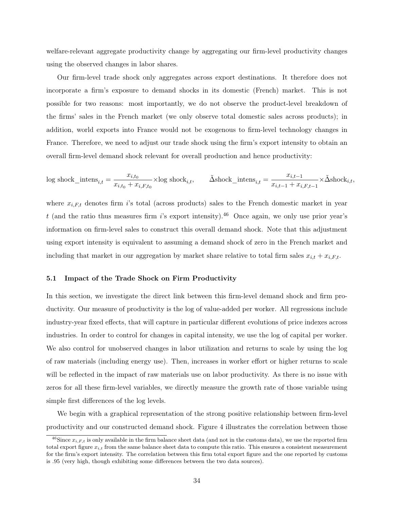welfare-relevant aggregate productivity change by aggregating our firm-level productivity changes using the observed changes in labor shares.

Our firm-level trade shock only aggregates across export destinations. It therefore does not incorporate a firm's exposure to demand shocks in its domestic (French) market. This is not possible for two reasons: most importantly, we do not observe the product-level breakdown of the firms' sales in the French market (we only observe total domestic sales across products); in addition, world exports into France would not be exogenous to firm-level technology changes in France. Therefore, we need to adjust our trade shock using the firm's export intensity to obtain an overall firm-level demand shock relevant for overall production and hence productivity:

$$
\log \text{shock\_intens}_{i,t} = \frac{x_{i,t_0}}{x_{i,t_0} + x_{i,F,t_0}} \times \log \text{shock}_{i,t}, \qquad \tilde{\Delta} \text{shock\_intens}_{i,t} = \frac{x_{i,t-1}}{x_{i,t-1} + x_{i,F,t-1}} \times \tilde{\Delta} \text{shock}_{i,t},
$$

where  $x_{i,F,t}$  denotes firm i's total (across products) sales to the French domestic market in year t (and the ratio thus measures firm i's export intensity).<sup>46</sup> Once again, we only use prior year's information on firm-level sales to construct this overall demand shock. Note that this adjustment using export intensity is equivalent to assuming a demand shock of zero in the French market and including that market in our aggregation by market share relative to total firm sales  $x_{i,t} + x_{i,F,t}$ .

#### 5.1 Impact of the Trade Shock on Firm Productivity

In this section, we investigate the direct link between this firm-level demand shock and firm productivity. Our measure of productivity is the log of value-added per worker. All regressions include industry-year fixed effects, that will capture in particular different evolutions of price indexes across industries. In order to control for changes in capital intensity, we use the log of capital per worker. We also control for unobserved changes in labor utilization and returns to scale by using the log of raw materials (including energy use). Then, increases in worker effort or higher returns to scale will be reflected in the impact of raw materials use on labor productivity. As there is no issue with zeros for all these firm-level variables, we directly measure the growth rate of those variable using simple first differences of the log levels.

We begin with a graphical representation of the strong positive relationship between firm-level productivity and our constructed demand shock. Figure 4 illustrates the correlation between those

<sup>&</sup>lt;sup>46</sup>Since  $x_{i,F,t}$  is only available in the firm balance sheet data (and not in the customs data), we use the reported firm total export figure  $x_{i,t}$  from the same balance sheet data to compute this ratio. This ensures a consistent measurement for the firm's export intensity. The correlation between this firm total export figure and the one reported by customs is .95 (very high, though exhibiting some differences between the two data sources).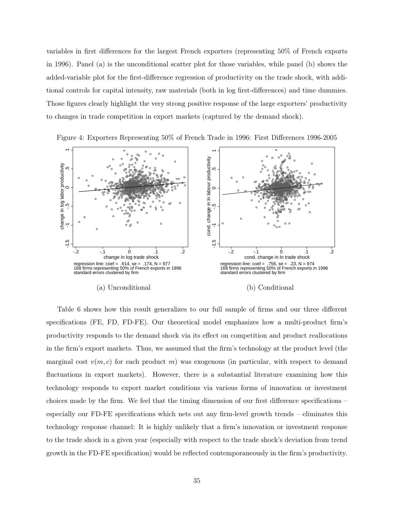variables in first differences for the largest French exporters (representing 50% of French exports in 1996). Panel (a) is the unconditional scatter plot for those variables, while panel (b) shows the added-variable plot for the first-difference regression of productivity on the trade shock, with additional controls for capital intensity, raw materials (both in log first-differences) and time dummies. Those figures clearly highlight the very strong positive response of the large exporters' productivity to changes in trade competition in export markets (captured by the demand shock).



Figure 4: Exporters Representing 50% of French Trade in 1996: First Differences 1996-2005

Table 6 shows how this result generalizes to our full sample of firms and our three different specifications (FE, FD, FD-FE). Our theoretical model emphasizes how a multi-product firm's productivity responds to the demand shock via its effect on competition and product reallocations in the firm's export markets. Thus, we assumed that the firm's technology at the product level (the marginal cost  $v(m, c)$  for each product m) was exogenous (in particular, with respect to demand fluctuations in export markets). However, there is a substantial literature examining how this technology responds to export market conditions via various forms of innovation or investment choices made by the firm. We feel that the timing dimension of our first difference specifications – especially our FD-FE specifications which nets out any firm-level growth trends – eliminates this technology response channel: It is highly unlikely that a firm's innovation or investment response to the trade shock in a given year (especially with respect to the trade shock's deviation from trend growth in the FD-FE specification) would be reflected contemporaneously in the firm's productivity.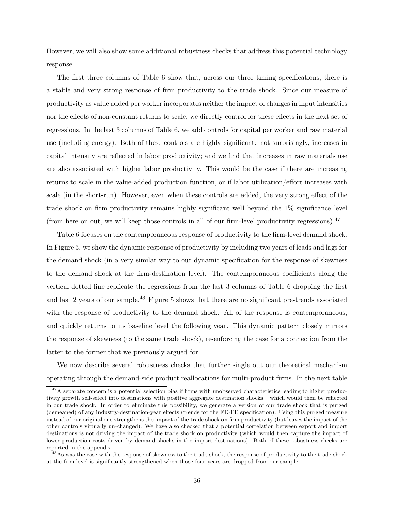However, we will also show some additional robustness checks that address this potential technology response.

The first three columns of Table 6 show that, across our three timing specifications, there is a stable and very strong response of firm productivity to the trade shock. Since our measure of productivity as value added per worker incorporates neither the impact of changes in input intensities nor the effects of non-constant returns to scale, we directly control for these effects in the next set of regressions. In the last 3 columns of Table 6, we add controls for capital per worker and raw material use (including energy). Both of these controls are highly significant: not surprisingly, increases in capital intensity are reflected in labor productivity; and we find that increases in raw materials use are also associated with higher labor productivity. This would be the case if there are increasing returns to scale in the value-added production function, or if labor utilization/effort increases with scale (in the short-run). However, even when these controls are added, the very strong effect of the trade shock on firm productivity remains highly significant well beyond the 1% significance level (from here on out, we will keep those controls in all of our firm-level productivity regressions).<sup>47</sup>

Table 6 focuses on the contemporaneous response of productivity to the firm-level demand shock. In Figure 5, we show the dynamic response of productivity by including two years of leads and lags for the demand shock (in a very similar way to our dynamic specification for the response of skewness to the demand shock at the firm-destination level). The contemporaneous coefficients along the vertical dotted line replicate the regressions from the last 3 columns of Table 6 dropping the first and last 2 years of our sample.<sup>48</sup> Figure 5 shows that there are no significant pre-trends associated with the response of productivity to the demand shock. All of the response is contemporaneous, and quickly returns to its baseline level the following year. This dynamic pattern closely mirrors the response of skewness (to the same trade shock), re-enforcing the case for a connection from the latter to the former that we previously argued for.

We now describe several robustness checks that further single out our theoretical mechanism operating through the demand-side product reallocations for multi-product firms. In the next table

 $^{47}$ A separate concern is a potential selection bias if firms with unobserved characteristics leading to higher productivity growth self-select into destinations with positive aggregate destination shocks – which would then be reflected in our trade shock. In order to eliminate this possibility, we generate a version of our trade shock that is purged (demeaned) of any industry-destination-year effects (trends for the FD-FE specification). Using this purged measure instead of our original one strengthens the impact of the trade shock on firm productivity (but leaves the impact of the other controls virtually un-changed). We have also checked that a potential correlation between export and import destinations is not driving the impact of the trade shock on productivity (which would then capture the impact of lower production costs driven by demand shocks in the import destinations). Both of these robustness checks are reported in the appendix.

<sup>&</sup>lt;sup>48</sup>As was the case with the response of skewness to the trade shock, the response of productivity to the trade shock at the firm-level is significantly strengthened when those four years are dropped from our sample.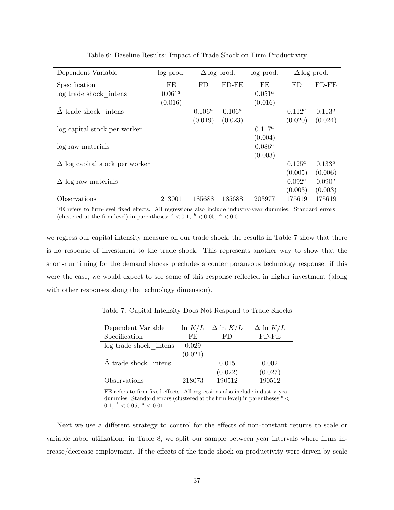| Dependent Variable                    | log prod. | $\Delta$ log prod. |           | log prod. | $\Delta$ log prod. |                 |
|---------------------------------------|-----------|--------------------|-----------|-----------|--------------------|-----------------|
| Specification                         | FE        | FD                 | FD-FE     | FE        | FD                 | FD-FE           |
| log trade shock intens                | $0.061^a$ |                    |           | $0.051^a$ |                    |                 |
|                                       | (0.016)   |                    |           | (0.016)   |                    |                 |
| trade shock intens<br>Δ               |           | $0.106^a$          | $0.106^a$ |           | $0.112^a$          | $0.113^a$       |
|                                       |           | (0.019)            | (0.023)   |           | (0.020)            | (0.024)         |
| log capital stock per worker          |           |                    |           | $0.117^a$ |                    |                 |
|                                       |           |                    |           | (0.004)   |                    |                 |
| log raw materials                     |           |                    |           | $0.086^a$ |                    |                 |
|                                       |           |                    |           | (0.003)   |                    |                 |
| $\Delta$ log capital stock per worker |           |                    |           |           | $0.125^a$          | $0.133^{\circ}$ |
|                                       |           |                    |           |           | (0.005)            | (0.006)         |
| $\Delta$ log raw materials            |           |                    |           |           | $0.092^a$          | $0.090^a$       |
|                                       |           |                    |           |           | (0.003)            | (0.003)         |
| Observations                          | 213001    | 185688             | 185688    | 203977    | 175619             | 175619          |

Table 6: Baseline Results: Impact of Trade Shock on Firm Productivity

FE refers to firm-level fixed effects. All regressions also include industry-year dummies. Standard errors (clustered at the firm level) in parentheses:  $\epsilon < 0.1$ ,  $\epsilon < 0.05$ ,  $\epsilon < 0.01$ .

we regress our capital intensity measure on our trade shock; the results in Table 7 show that there is no response of investment to the trade shock. This represents another way to show that the short-run timing for the demand shocks precludes a contemporaneous technology response: if this were the case, we would expect to see some of this response reflected in higher investment (along with other responses along the technology dimension).

| Dependent Variable          |         | $\ln K/L \Delta \ln K/L$ | $\Delta$ ln $K/L$ |
|-----------------------------|---------|--------------------------|-------------------|
| Specification               | FF.     | FD                       | FD-FE             |
| log trade shock intens      | 0.029   |                          |                   |
|                             | (0.021) |                          |                   |
| $\Delta$ trade shock intens |         | 0.015                    | 0.002             |
|                             |         | (0.022)                  | (0.027)           |
| Observations                | 218073  | 190512                   | 190512            |

Table 7: Capital Intensity Does Not Respond to Trade Shocks

FE refers to firm fixed effects. All regressions also include industry-year dummies. Standard errors (clustered at the firm level) in parentheses: $c <$ 0.1,  $^{b}$  < 0.05,  $^{a}$  < 0.01.

Next we use a different strategy to control for the effects of non-constant returns to scale or variable labor utilization: in Table 8, we split our sample between year intervals where firms increase/decrease employment. If the effects of the trade shock on productivity were driven by scale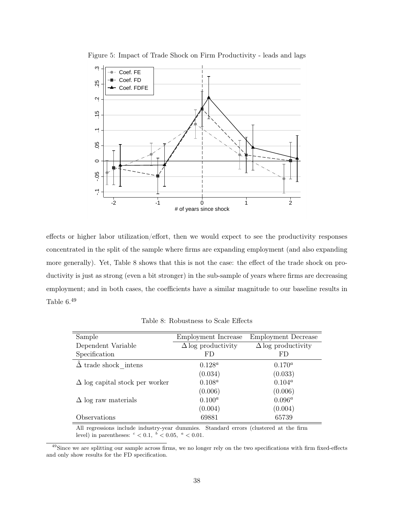

Figure 5: Impact of Trade Shock on Firm Productivity - leads and lags

effects or higher labor utilization/effort, then we would expect to see the productivity responses concentrated in the split of the sample where firms are expanding employment (and also expanding more generally). Yet, Table 8 shows that this is not the case: the effect of the trade shock on productivity is just as strong (even a bit stronger) in the sub-sample of years where firms are decreasing employment; and in both cases, the coefficients have a similar magnitude to our baseline results in Table  $6.<sup>49</sup>$ 

Table 8: Robustness to Scale Effects

| Sample                                | Employment Increase       | <b>Employment Decrease</b> |
|---------------------------------------|---------------------------|----------------------------|
| Dependent Variable                    | $\Delta$ log productivity | $\Delta$ log productivity  |
| Specification                         | FD                        | FD                         |
| $\Delta$ trade shock intens           | $0.128^a$                 | $0.170^{a}$                |
|                                       | (0.034)                   | (0.033)                    |
| $\Delta$ log capital stock per worker | $0.108^a$                 | $0.104^a$                  |
|                                       | (0.006)                   | (0.006)                    |
| $\Delta$ log raw materials            | $0.100^{a}$               | $0.096^a$                  |
|                                       | (0.004)                   | (0.004)                    |
| Observations                          | 69881                     | 65739                      |

All regressions include industry-year dummies. Standard errors (clustered at the firm level) in parentheses:  $\epsilon < 0.1$ ,  $\epsilon > 0.05$ ,  $\epsilon < 0.01$ .

 $^{49}$ Since we are splitting our sample across firms, we no longer rely on the two specifications with firm fixed-effects and only show results for the FD specification.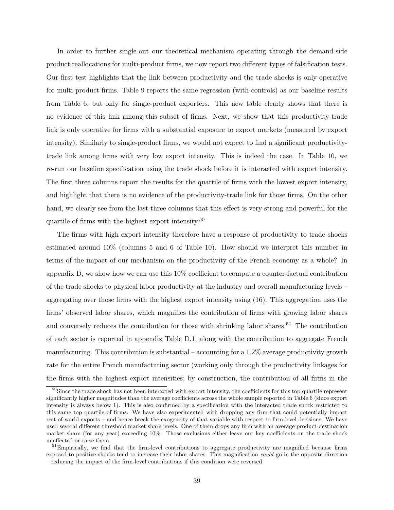In order to further single-out our theoretical mechanism operating through the demand-side product reallocations for multi-product firms, we now report two different types of falsification tests. Our first test highlights that the link between productivity and the trade shocks is only operative for multi-product firms. Table 9 reports the same regression (with controls) as our baseline results from Table 6, but only for single-product exporters. This new table clearly shows that there is no evidence of this link among this subset of firms. Next, we show that this productivity-trade link is only operative for firms with a substantial exposure to export markets (measured by export intensity). Similarly to single-product firms, we would not expect to find a significant productivitytrade link among firms with very low export intensity. This is indeed the case. In Table 10, we re-run our baseline specification using the trade shock before it is interacted with export intensity. The first three columns report the results for the quartile of firms with the lowest export intensity, and highlight that there is no evidence of the productivity-trade link for those firms. On the other hand, we clearly see from the last three columns that this effect is very strong and powerful for the quartile of firms with the highest export intensity.<sup>50</sup>

The firms with high export intensity therefore have a response of productivity to trade shocks estimated around 10% (columns 5 and 6 of Table 10). How should we interpret this number in terms of the impact of our mechanism on the productivity of the French economy as a whole? In appendix D, we show how we can use this 10% coefficient to compute a counter-factual contribution of the trade shocks to physical labor productivity at the industry and overall manufacturing levels – aggregating over those firms with the highest export intensity using (16). This aggregation uses the firms' observed labor shares, which magnifies the contribution of firms with growing labor shares and conversely reduces the contribution for those with shrinking labor shares.<sup>51</sup> The contribution of each sector is reported in appendix Table D.1, along with the contribution to aggregate French manufacturing. This contribution is substantial – accounting for a 1.2% average productivity growth rate for the entire French manufacturing sector (working only through the productivity linkages for the firms with the highest export intensities; by construction, the contribution of all firms in the

<sup>&</sup>lt;sup>50</sup>Since the trade shock has not been interacted with export intensity, the coefficients for this top quartile represent significantly higher magnitudes than the average coefficients across the whole sample reported in Table 6 (since export intensity is always below 1). This is also confirmed by a specification with the interacted trade shock restricted to this same top quartile of firms. We have also experimented with dropping any firm that could potentially impact rest-of-world exports – and hence break the exogeneity of that variable with respect to firm-level decisions. We have used several different threshold market share levels. One of them drops any firm with an average product-destination market share (for any year) exceeding 10%. Those exclusions either leave our key coefficients on the trade shock unaffected or raise them.

 $51$ Empirically, we find that the firm-level contributions to aggregate productivity are magnified because firms exposed to positive shocks tend to increase their labor shares. This magnification could go in the opposite direction – reducing the impact of the firm-level contributions if this condition were reversed.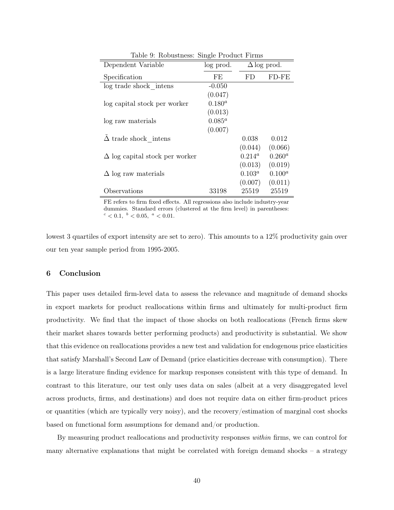| Dependent Variable                    | log prod.   |           | $\Delta$ log prod. |
|---------------------------------------|-------------|-----------|--------------------|
| Specification                         | FE          | FD        | FD-FE              |
| log trade shock intens                | $-0.050$    |           |                    |
|                                       | (0.047)     |           |                    |
| log capital stock per worker          | $0.180^{a}$ |           |                    |
|                                       | (0.013)     |           |                    |
| log raw materials                     | $0.085^a$   |           |                    |
|                                       | (0.007)     |           |                    |
| $\Delta$ trade shock intens           |             | 0.038     | 0.012              |
|                                       |             | (0.044)   | (0.066)            |
| $\Delta$ log capital stock per worker |             | $0.214^a$ | $0.260^a$          |
|                                       |             | (0.013)   | (0.019)            |
| $\Delta$ log raw materials            |             | $0.103^a$ | $0.100^{a}$        |
|                                       |             | (0.007)   | (0.011)            |
| Observations                          | 33198       | 25519     | 25519              |

FE refers to firm fixed effects. All regressions also include industry-year dummies. Standard errors (clustered at the firm level) in parentheses:  $c < 0.1, b < 0.05, a < 0.01.$ 

lowest 3 quartiles of export intensity are set to zero). This amounts to a 12% productivity gain over our ten year sample period from 1995-2005.

#### 6 Conclusion

This paper uses detailed firm-level data to assess the relevance and magnitude of demand shocks in export markets for product reallocations within firms and ultimately for multi-product firm productivity. We find that the impact of those shocks on both reallocations (French firms skew their market shares towards better performing products) and productivity is substantial. We show that this evidence on reallocations provides a new test and validation for endogenous price elasticities that satisfy Marshall's Second Law of Demand (price elasticities decrease with consumption). There is a large literature finding evidence for markup responses consistent with this type of demand. In contrast to this literature, our test only uses data on sales (albeit at a very disaggregated level across products, firms, and destinations) and does not require data on either firm-product prices or quantities (which are typically very noisy), and the recovery/estimation of marginal cost shocks based on functional form assumptions for demand and/or production.

By measuring product reallocations and productivity responses within firms, we can control for many alternative explanations that might be correlated with foreign demand shocks – a strategy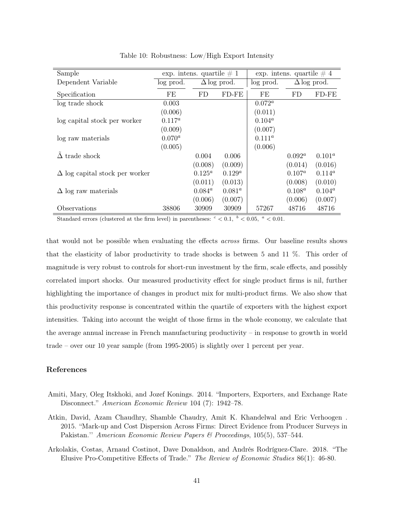| Sample                                |             | exp. intens. quartile $\# 1$ |           | exp. intens. quartile $\# 4$ |                    |           |  |
|---------------------------------------|-------------|------------------------------|-----------|------------------------------|--------------------|-----------|--|
| Dependent Variable                    | log prod.   | $\Delta$ log prod.           |           | log prod.                    | $\Delta$ log prod. |           |  |
| Specification                         | FE          | FD                           | FD-FE     | FE                           | FD                 | FD-FE     |  |
| log trade shock                       | 0.003       |                              |           | $0.072^{\alpha}$             |                    |           |  |
|                                       | (0.006)     |                              |           | (0.011)                      |                    |           |  |
| log capital stock per worker          | $0.117^a$   |                              |           | $0.104^a$                    |                    |           |  |
|                                       | (0.009)     |                              |           | (0.007)                      |                    |           |  |
| log raw materials                     | $0.070^{a}$ |                              |           | $0.111^a$                    |                    |           |  |
|                                       | (0.005)     |                              |           | (0.006)                      |                    |           |  |
| trade shock<br>$\Delta$               |             | 0.004                        | 0.006     |                              | $0.092^a$          | $0.101^a$ |  |
|                                       |             | (0.008)                      | (0.009)   |                              | (0.014)            | (0.016)   |  |
| $\Delta$ log capital stock per worker |             | $0.125^a$                    | $0.129^a$ |                              | $0.107^a$          | $0.114^a$ |  |
|                                       |             | (0.011)                      | (0.013)   |                              | (0.008)            | (0.010)   |  |
| $\Delta$ log raw materials            |             | $0.084^a$                    | $0.081^a$ |                              | $0.108^a$          | $0.104^a$ |  |
|                                       |             | (0.006)                      | (0.007)   |                              | (0.006)            | (0.007)   |  |
| Observations                          | 38806       | 30909                        | 30909     | 57267                        | 48716              | 48716     |  |

Table 10: Robustness: Low/High Export Intensity

Standard errors (clustered at the firm level) in parentheses:  $c < 0.1$ ,  $b < 0.05$ ,  $a < 0.01$ .

that would not be possible when evaluating the effects *across* firms. Our baseline results shows that the elasticity of labor productivity to trade shocks is between 5 and 11 %. This order of magnitude is very robust to controls for short-run investment by the firm, scale effects, and possibly correlated import shocks. Our measured productivity effect for single product firms is nil, further highlighting the importance of changes in product mix for multi-product firms. We also show that this productivity response is concentrated within the quartile of exporters with the highest export intensities. Taking into account the weight of those firms in the whole economy, we calculate that the average annual increase in French manufacturing productivity – in response to growth in world trade – over our 10 year sample (from 1995-2005) is slightly over 1 percent per year.

# References

- Amiti, Mary, Oleg Itskhoki, and Jozef Konings. 2014. "Importers, Exporters, and Exchange Rate Disconnect." American Economic Review 104 (7): 1942–78.
- Atkin, David, Azam Chaudhry, Shamble Chaudry, Amit K. Khandelwal and Eric Verhoogen . 2015. "Mark-up and Cost Dispersion Across Firms: Direct Evidence from Producer Surveys in Pakistan.'' American Economic Review Papers & Proceedings, 105(5), 537–544.
- Arkolakis, Costas, Arnaud Costinot, Dave Donaldson, and Andrés Rodríguez-Clare. 2018. "The Elusive Pro-Competitive Effects of Trade." The Review of Economic Studies 86(1): 46-80.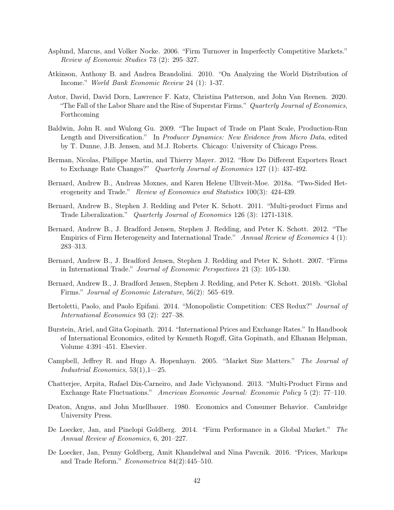- Asplund, Marcus, and Volker Nocke. 2006. "Firm Turnover in Imperfectly Competitive Markets." Review of Economic Studies 73 (2): 295–327.
- Atkinson, Anthony B. and Andrea Brandolini. 2010. "On Analyzing the World Distribution of Income." World Bank Economic Review 24 (1): 1-37.
- Autor, David, David Dorn, Lawrence F. Katz, Christina Patterson, and John Van Reenen. 2020. "The Fall of the Labor Share and the Rise of Superstar Firms." Quarterly Journal of Economics, Forthcoming
- Baldwin, John R. and Wulong Gu. 2009. "The Impact of Trade on Plant Scale, Production-Run Length and Diversification." In Producer Dynamics: New Evidence from Micro Data, edited by T. Dunne, J.B. Jensen, and M.J. Roberts. Chicago: University of Chicago Press.
- Berman, Nicolas, Philippe Martin, and Thierry Mayer. 2012. "How Do Different Exporters React to Exchange Rate Changes?" Quarterly Journal of Economics 127 (1): 437-492.
- Bernard, Andrew B., Andreas Moxnes, and Karen Helene Ulltveit-Moe. 2018a. "Two-Sided Heterogeneity and Trade." Review of Economics and Statistics 100(3): 424-439.
- Bernard, Andrew B., Stephen J. Redding and Peter K. Schott. 2011. "Multi-product Firms and Trade Liberalization." Quarterly Journal of Economics 126 (3): 1271-1318.
- Bernard, Andrew B., J. Bradford Jensen, Stephen J. Redding, and Peter K. Schott. 2012. "The Empirics of Firm Heterogeneity and International Trade." Annual Review of Economics 4 (1): 283–313.
- Bernard, Andrew B., J. Bradford Jensen, Stephen J. Redding and Peter K. Schott. 2007. "Firms in International Trade." Journal of Economic Perspectives 21 (3): 105-130.
- Bernard, Andrew B., J. Bradford Jensen, Stephen J. Redding, and Peter K. Schott. 2018b. "Global Firms." Journal of Economic Literature, 56(2): 565–619.
- Bertoletti, Paolo, and Paolo Epifani. 2014. "Monopolistic Competition: CES Redux?" Journal of International Economics 93 (2): 227–38.
- Burstein, Ariel, and Gita Gopinath. 2014. "International Prices and Exchange Rates." In Handbook of International Economics, edited by Kenneth Rogoff, Gita Gopinath, and Elhanan Helpman, Volume 4:391–451. Elsevier.
- Campbell, Jeffrey R. and Hugo A. Hopenhayn. 2005. "Market Size Matters." The Journal of Industrial Economics,  $53(1)$ ,  $1-25$ .
- Chatterjee, Arpita, Rafael Dix-Carneiro, and Jade Vichyanond. 2013. "Multi-Product Firms and Exchange Rate Fluctuations." American Economic Journal: Economic Policy 5 (2): 77–110.
- Deaton, Angus, and John Muellbauer. 1980. Economics and Consumer Behavior. Cambridge University Press.
- De Loecker, Jan, and Pinelopi Goldberg. 2014. "Firm Performance in a Global Market." The Annual Review of Economics, 6, 201–227.
- De Loecker, Jan, Penny Goldberg, Amit Khandelwal and Nina Pavcnik. 2016. "Prices, Markups and Trade Reform." Econometrica 84(2):445–510.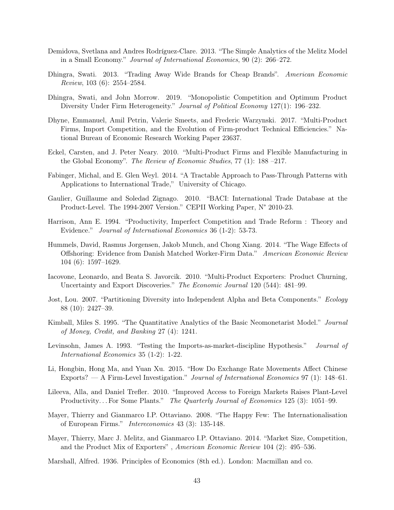- Demidova, Svetlana and Andres Rodríguez-Clare. 2013. "The Simple Analytics of the Melitz Model in a Small Economy." Journal of International Economics, 90 (2): 266–272.
- Dhingra, Swati. 2013. "Trading Away Wide Brands for Cheap Brands". American Economic Review, 103 (6): 2554–2584.
- Dhingra, Swati, and John Morrow. 2019. "Monopolistic Competition and Optimum Product Diversity Under Firm Heterogeneity." Journal of Political Economy 127(1): 196–232.
- Dhyne, Emmanuel, Amil Petrin, Valerie Smeets, and Frederic Warzynski. 2017. "Multi-Product Firms, Import Competition, and the Evolution of Firm-product Technical Efficiencies." National Bureau of Economic Research Working Paper 23637.
- Eckel, Carsten, and J. Peter Neary. 2010. "Multi-Product Firms and Flexible Manufacturing in the Global Economy". The Review of Economic Studies,  $77$  (1): 188 –217.
- Fabinger, Michal, and E. Glen Weyl. 2014. "A Tractable Approach to Pass-Through Patterns with Applications to International Trade," University of Chicago.
- Gaulier, Guillaume and Soledad Zignago. 2010. "BACI: International Trade Database at the Product-Level. The 1994-2007 Version." CEPII Working Paper, N° 2010-23.
- Harrison, Ann E. 1994. "Productivity, Imperfect Competition and Trade Reform : Theory and Evidence." Journal of International Economics 36 (1-2): 53-73.
- Hummels, David, Rasmus Jorgensen, Jakob Munch, and Chong Xiang. 2014. "The Wage Effects of Offshoring: Evidence from Danish Matched Worker-Firm Data." American Economic Review 104 (6): 1597–1629.
- Iacovone, Leonardo, and Beata S. Javorcik. 2010. "Multi-Product Exporters: Product Churning, Uncertainty and Export Discoveries." The Economic Journal 120 (544): 481–99.
- Jost, Lou. 2007. "Partitioning Diversity into Independent Alpha and Beta Components." Ecology 88 (10): 2427–39.
- Kimball, Miles S. 1995. "The Quantitative Analytics of the Basic Neomonetarist Model." Journal of Money, Credit, and Banking 27 (4): 1241.
- Levinsohn, James A. 1993. "Testing the Imports-as-market-discipline Hypothesis." Journal of International Economics 35 (1-2): 1-22.
- Li, Hongbin, Hong Ma, and Yuan Xu. 2015. "How Do Exchange Rate Movements Affect Chinese Exports? — A Firm-Level Investigation." Journal of International Economics 97 (1): 148–61.
- Lileeva, Alla, and Daniel Trefler. 2010. "Improved Access to Foreign Markets Raises Plant-Level Productivity... For Some Plants." The Quarterly Journal of Economics 125 (3): 1051–99.
- Mayer, Thierry and Gianmarco I.P. Ottaviano. 2008. "The Happy Few: The Internationalisation of European Firms." Intereconomics 43 (3): 135-148.
- Mayer, Thierry, Marc J. Melitz, and Gianmarco I.P. Ottaviano. 2014. "Market Size, Competition, and the Product Mix of Exporters" , American Economic Review 104 (2): 495–536.
- Marshall, Alfred. 1936. Principles of Economics (8th ed.). London: Macmillan and co.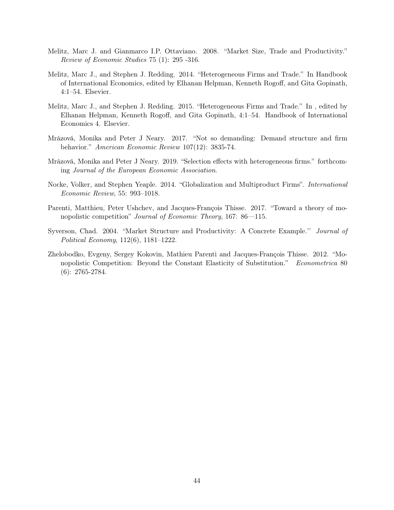- Melitz, Marc J. and Gianmarco I.P. Ottaviano. 2008. "Market Size, Trade and Productivity." Review of Economic Studies 75 (1): 295 -316.
- Melitz, Marc J., and Stephen J. Redding. 2014. "Heterogeneous Firms and Trade." In Handbook of International Economics, edited by Elhanan Helpman, Kenneth Rogoff, and Gita Gopinath, 4:1–54. Elsevier.
- Melitz, Marc J., and Stephen J. Redding. 2015. "Heterogeneous Firms and Trade." In , edited by Elhanan Helpman, Kenneth Rogoff, and Gita Gopinath, 4:1–54. Handbook of International Economics 4. Elsevier.
- Mrázová, Monika and Peter J Neary. 2017. "Not so demanding: Demand structure and firm behavior." American Economic Review 107(12): 3835-74.
- Mrázová, Monika and Peter J Neary. 2019. "Selection effects with heterogeneous firms." forthcoming Journal of the European Economic Association.
- Nocke, Volker, and Stephen Yeaple. 2014. "Globalization and Multiproduct Firms". International Economic Review, 55: 993–1018.
- Parenti, Matthieu, Peter Ushchev, and Jacques-François Thisse. 2017. "Toward a theory of monopolistic competition" Journal of Economic Theory, 167: 86—115.
- Syverson, Chad. 2004. "Market Structure and Productivity: A Concrete Example.'' Journal of Political Economy, 112(6), 1181–1222.
- Zhelobodko, Evgeny, Sergey Kokovin, Mathieu Parenti and Jacques-François Thisse. 2012. "Monopolistic Competition: Beyond the Constant Elasticity of Substitution." Econometrica 80 (6): 2765-2784.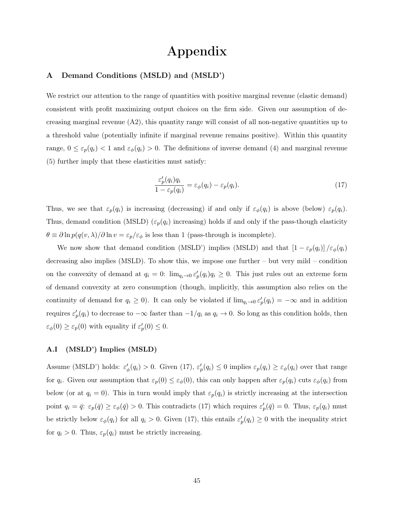# Appendix

# A Demand Conditions (MSLD) and (MSLD')

We restrict our attention to the range of quantities with positive marginal revenue (elastic demand) consistent with profit maximizing output choices on the firm side. Given our assumption of decreasing marginal revenue  $(A2)$ , this quantity range will consist of all non-negative quantities up to a threshold value (potentially infinite if marginal revenue remains positive). Within this quantity range,  $0 \leq \varepsilon_p(q_i) < 1$  and  $\varepsilon_\phi(q_i) > 0$ . The definitions of inverse demand (4) and marginal revenue (5) further imply that these elasticities must satisfy:

$$
\frac{\varepsilon_p'(q_i)q_i}{1 - \varepsilon_p(q_i)} = \varepsilon_\phi(q_i) - \varepsilon_p(q_i). \tag{17}
$$

Thus, we see that  $\varepsilon_p(q_i)$  is increasing (decreasing) if and only if  $\varepsilon_\phi(q_i)$  is above (below)  $\varepsilon_p(q_i)$ . Thus, demand condition (MSLD) ( $\varepsilon_p(q_i)$  increasing) holds if and only if the pass-though elasticity  $\theta \equiv \partial \ln p(q(v, \lambda)/\partial \ln v = \varepsilon_p/\varepsilon_\phi$  is less than 1 (pass-through is incomplete).

We now show that demand condition (MSLD') implies (MSLD) and that  $[1 - \varepsilon_p(q_i)]/\varepsilon_\phi(q_i)$ decreasing also implies (MSLD). To show this, we impose one further – but very mild – condition on the convexity of demand at  $q_i = 0$ :  $\lim_{q_i \to 0} \varepsilon'_p(q_i) q_i \geq 0$ . This just rules out an extreme form of demand convexity at zero consumption (though, implicitly, this assumption also relies on the continuity of demand for  $q_i \ge 0$ ). It can only be violated if  $\lim_{q_i \to 0} \varepsilon'_p(q_i) = -\infty$  and in addition requires  $\varepsilon'_p(q_i)$  to decrease to  $-\infty$  faster than  $-1/q_i$  as  $q_i \to 0$ . So long as this condition holds, then  $\varepsilon_{\phi}(0) \geq \varepsilon_p(0)$  with equality if  $\varepsilon'_p(0) \leq 0$ .

### A.I (MSLD') Implies (MSLD)

Assume (MSLD') holds:  $\varepsilon'_{\phi}(q_i) > 0$ . Given (17),  $\varepsilon'_{p}(q_i) \leq 0$  implies  $\varepsilon_{p}(q_i) \geq \varepsilon_{\phi}(q_i)$  over that range for  $q_i$ . Given our assumption that  $\varepsilon_p(0) \leq \varepsilon_\phi(0)$ , this can only happen after  $\varepsilon_p(q_i)$  cuts  $\varepsilon_\phi(q_i)$  from below (or at  $q_i = 0$ ). This in turn would imply that  $\varepsilon_p(q_i)$  is strictly increasing at the intersection point  $q_i = \bar{q}$ :  $\varepsilon_p(\bar{q}) \geq \varepsilon_\phi(\bar{q}) > 0$ . This contradicts (17) which requires  $\varepsilon'_p(\bar{q}) = 0$ . Thus,  $\varepsilon_p(q_i)$  must be strictly below  $\varepsilon_{\phi}(q_i)$  for all  $q_i > 0$ . Given (17), this entails  $\varepsilon'_p(q_i) \geq 0$  with the inequality strict for  $q_i > 0$ . Thus,  $\varepsilon_p(q_i)$  must be strictly increasing.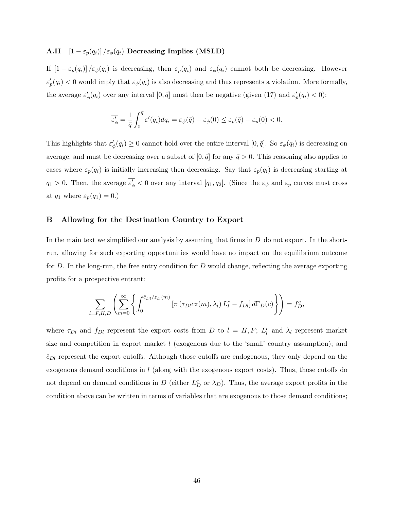## **A.II**  $[1 - \varepsilon_p(q_i)] / \varepsilon_\phi(q_i)$  Decreasing Implies (MSLD)

If  $[1 - \varepsilon_p(q_i)] / \varepsilon_\phi(q_i)$  is decreasing, then  $\varepsilon_p(q_i)$  and  $\varepsilon_\phi(q_i)$  cannot both be decreasing. However  $\varepsilon'_p(q_i) < 0$  would imply that  $\varepsilon_\phi(q_i)$  is also decreasing and thus represents a violation. More formally, the average  $\varepsilon'_{\phi}(q_i)$  over any interval  $[0, \bar{q}]$  must then be negative (given (17) and  $\varepsilon'_{p}(q_i) < 0$ ):

$$
\overline{\varepsilon'_{\phi}} = \frac{1}{\overline{q}} \int_0^{\overline{q}} \varepsilon'(q_i) dq_i = \varepsilon_{\phi}(\overline{q}) - \varepsilon_{\phi}(0) \le \varepsilon_p(\overline{q}) - \varepsilon_p(0) < 0.
$$

This highlights that  $\varepsilon'_{\phi}(q_i) \geq 0$  cannot hold over the entire interval  $[0, \bar{q}]$ . So  $\varepsilon_{\phi}(q_i)$  is decreasing on average, and must be decreasing over a subset of  $[0, \bar{q}]$  for any  $\bar{q} > 0$ . This reasoning also applies to cases where  $\varepsilon_p(q_i)$  is initially increasing then decreasing. Say that  $\varepsilon_p(q_i)$  is decreasing starting at  $q_1 > 0$ . Then, the average  $\overline{\varepsilon_{\phi}} < 0$  over any interval  $[q_1, q_2]$ . (Since the  $\varepsilon_{\phi}$  and  $\varepsilon_p$  curves must cross at  $q_1$  where  $\varepsilon_p(q_1) = 0.$ )

#### B Allowing for the Destination Country to Export

In the main text we simplified our analysis by assuming that firms in  $D$  do not export. In the shortrun, allowing for such exporting opportunities would have no impact on the equilibrium outcome for D. In the long-run, the free entry condition for D would change, reflecting the average exporting profits for a prospective entrant:

$$
\sum_{l=F,H,D} \left( \sum_{m=0}^{\infty} \left\{ \int_0^{\hat{c}_{Dl}/z_D(m)} \left[ \pi \left( \tau_{Dl}cz(m), \lambda_l \right) L_l^c - f_{Dl} \right] d\Gamma_D(c) \right\} \right) = f_D^e,
$$

where  $\tau_{Dl}$  and  $f_{Dl}$  represent the export costs from D to  $l = H, F; L_l^c$  and  $\lambda_l$  represent market size and competition in export market  $l$  (exogenous due to the 'small' country assumption); and  $\hat{c}_{Dl}$  represent the export cutoffs. Although those cutoffs are endogenous, they only depend on the exogenous demand conditions in  $l$  (along with the exogenous export costs). Thus, those cutoffs do not depend on demand conditions in D (either  $L_D^c$  or  $\lambda_D$ ). Thus, the average export profits in the condition above can be written in terms of variables that are exogenous to those demand conditions;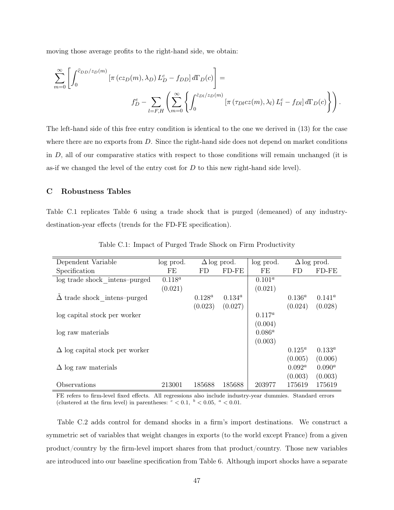moving those average profits to the right-hand side, we obtain:

$$
\sum_{m=0}^{\infty} \left[ \int_0^{\widehat{c}_{DD}/z_D(m)} \left[ \pi \left( cz_D(m), \lambda_D \right) L_D^c - f_{DD} \right] d\Gamma_D(c) \right] =
$$
\n
$$
f_D^e - \sum_{l=F,H} \left( \sum_{m=0}^{\infty} \left\{ \int_0^{\widehat{c}_{DL}/z_D(m)} \left[ \pi \left( \tau_{Dl} cz(m), \lambda_l \right) L_l^c - f_{Dl} \right] d\Gamma_D(c) \right\} \right).
$$

The left-hand side of this free entry condition is identical to the one we derived in (13) for the case where there are no exports from  $D$ . Since the right-hand side does not depend on market conditions in  $D$ , all of our comparative statics with respect to those conditions will remain unchanged (it is as-if we changed the level of the entry cost for  $D$  to this new right-hand side level).

#### C Robustness Tables

Table C.1 replicates Table 6 using a trade shock that is purged (demeaned) of any industrydestination-year effects (trends for the FD-FE specification).

| Dependent Variable                    | log prod. |           | $\Delta$ log prod. | log prod. | $\Delta$ log prod. |           |
|---------------------------------------|-----------|-----------|--------------------|-----------|--------------------|-----------|
| Specification                         | FE        | FD.       | FD-FE              | FE        | FD                 | FD-FE     |
| log trade shock intens-purged         | $0.118^a$ |           |                    | $0.101^a$ |                    |           |
|                                       | (0.021)   |           |                    | (0.021)   |                    |           |
| trade shock intens-purged<br>Δ        |           | $0.128^a$ | $0.134^a$          |           | $0.136^{a}$        | $0.141^a$ |
|                                       |           | (0.023)   | (0.027)            |           | (0.024)            | (0.028)   |
| log capital stock per worker          |           |           |                    | $0.117^a$ |                    |           |
|                                       |           |           |                    | (0.004)   |                    |           |
| log raw materials                     |           |           |                    | $0.086^a$ |                    |           |
|                                       |           |           |                    | (0.003)   |                    |           |
| $\Delta$ log capital stock per worker |           |           |                    |           | $0.125^a$          | $0.133^a$ |
|                                       |           |           |                    |           | (0.005)            | (0.006)   |
| $\Delta$ log raw materials            |           |           |                    |           | $0.092^a$          | $0.090^a$ |
|                                       |           |           |                    |           | (0.003)            | (0.003)   |
| Observations                          | 213001    | 185688    | 185688             | 203977    | 175619             | 175619    |

Table C.1: Impact of Purged Trade Shock on Firm Productivity

FE refers to firm-level fixed effects. All regressions also include industry-year dummies. Standard errors (clustered at the firm level) in parentheses:  $c < 0.1$ ,  $b < 0.05$ ,  $a < 0.01$ .

Table C.2 adds control for demand shocks in a firm's import destinations. We construct a symmetric set of variables that weight changes in exports (to the world except France) from a given product/country by the firm-level import shares from that product/country. Those new variables are introduced into our baseline specification from Table 6. Although import shocks have a separate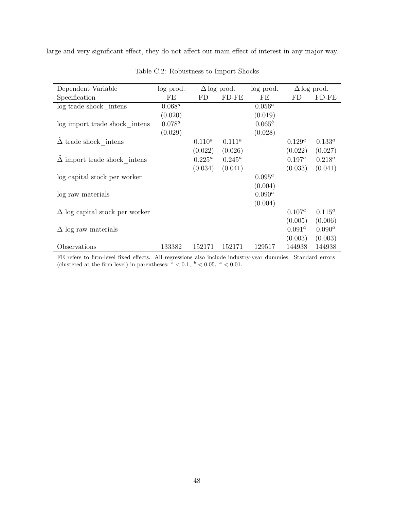large and very significant effect, they do not affect our main effect of interest in any major way.

| Dependent Variable                    | log prod. | $\Delta$ log prod. |           | log prod. | $\Delta$ log prod. |             |
|---------------------------------------|-----------|--------------------|-----------|-----------|--------------------|-------------|
| Specification                         | FE        | FD                 | FD-FE     | FE        | FD                 | FD-FE       |
| log trade shock intens                | $0.068^a$ |                    |           | $0.056^a$ |                    |             |
|                                       | (0.020)   |                    |           | (0.019)   |                    |             |
| log import trade shock intens         | $0.078^a$ |                    |           | $0.065^b$ |                    |             |
|                                       | (0.029)   |                    |           | (0.028)   |                    |             |
| $\Delta$ trade shock intens           |           | $0.110^a$          | $0.111^a$ |           | $0.129^a$          | $0.133^{a}$ |
|                                       |           | (0.022)            | (0.026)   |           | (0.022)            | (0.027)     |
| $\Delta$ import trade shock intens    |           | $0.225^a$          | $0.245^a$ |           | $0.197^a$          | $0.218^{a}$ |
|                                       |           | (0.034)            | (0.041)   |           | (0.033)            | (0.041)     |
| log capital stock per worker          |           |                    |           | $0.095^a$ |                    |             |
|                                       |           |                    |           | (0.004)   |                    |             |
| log raw materials                     |           |                    |           | $0.090^a$ |                    |             |
|                                       |           |                    |           | (0.004)   |                    |             |
| $\Delta$ log capital stock per worker |           |                    |           |           | $0.107^a$          | $0.115^a$   |
|                                       |           |                    |           |           | (0.005)            | (0.006)     |
| $\Delta$ log raw materials            |           |                    |           |           | $0.091^a$          | $0.090^a$   |
|                                       |           |                    |           |           | (0.003)            | (0.003)     |
| Observations                          | 133382    | 152171             | 152171    | 129517    | 144938             | 144938      |

Table C.2: Robustness to Import Shocks

FE refers to firm-level fixed effects. All regressions also include industry-year dummies. Standard errors (clustered at the firm level) in parentheses:  $c < 0.1$ ,  $b < 0.05$ ,  $a < 0.01$ .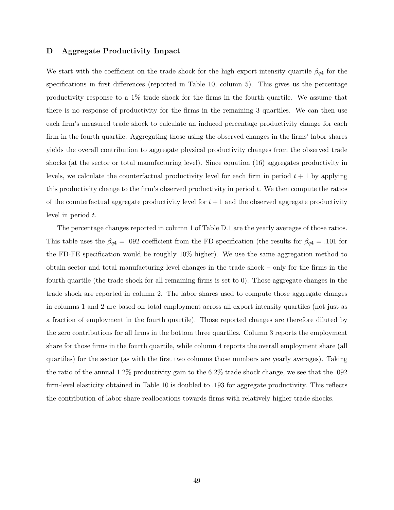#### D Aggregate Productivity Impact

We start with the coefficient on the trade shock for the high export-intensity quartile  $\beta_{q4}$  for the specifications in first differences (reported in Table 10, column 5). This gives us the percentage productivity response to a 1% trade shock for the firms in the fourth quartile. We assume that there is no response of productivity for the firms in the remaining 3 quartiles. We can then use each firm's measured trade shock to calculate an induced percentage productivity change for each firm in the fourth quartile. Aggregating those using the observed changes in the firms' labor shares yields the overall contribution to aggregate physical productivity changes from the observed trade shocks (at the sector or total manufacturing level). Since equation (16) aggregates productivity in levels, we calculate the counterfactual productivity level for each firm in period  $t + 1$  by applying this productivity change to the firm's observed productivity in period  $t$ . We then compute the ratios of the counterfactual aggregate productivity level for  $t + 1$  and the observed aggregate productivity level in period t.

The percentage changes reported in column 1 of Table D.1 are the yearly averages of those ratios. This table uses the  $\beta_{q4} = .092$  coefficient from the FD specification (the results for  $\beta_{q4} = .101$  for the FD-FE specification would be roughly 10% higher). We use the same aggregation method to obtain sector and total manufacturing level changes in the trade shock – only for the firms in the fourth quartile (the trade shock for all remaining firms is set to 0). Those aggregate changes in the trade shock are reported in column 2. The labor shares used to compute those aggregate changes in columns 1 and 2 are based on total employment across all export intensity quartiles (not just as a fraction of employment in the fourth quartile). Those reported changes are therefore diluted by the zero contributions for all firms in the bottom three quartiles. Column 3 reports the employment share for those firms in the fourth quartile, while column 4 reports the overall employment share (all quartiles) for the sector (as with the first two columns those numbers are yearly averages). Taking the ratio of the annual 1.2% productivity gain to the 6.2% trade shock change, we see that the .092 firm-level elasticity obtained in Table 10 is doubled to .193 for aggregate productivity. This reflects the contribution of labor share reallocations towards firms with relatively higher trade shocks.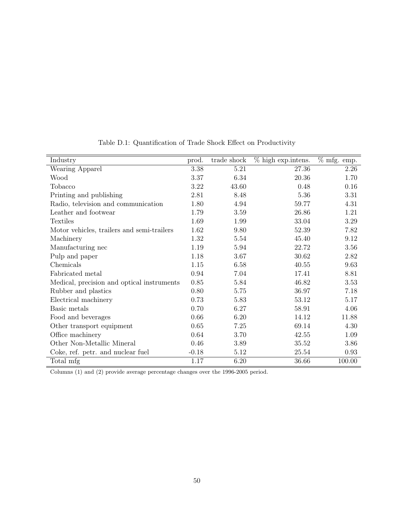| Industry                                   | prod.   | trade shock | $%$ high exp.intens. | $%$ mfg. emp. |
|--------------------------------------------|---------|-------------|----------------------|---------------|
| Wearing Apparel                            | 3.38    | 5.21        | 27.36                | 2.26          |
| Wood                                       | 3.37    | 6.34        | 20.36                | 1.70          |
| Tobacco                                    | 3.22    | 43.60       | 0.48                 | 0.16          |
| Printing and publishing                    | 2.81    | 8.48        | 5.36                 | 3.31          |
| Radio, television and communication        | 1.80    | 4.94        | 59.77                | 4.31          |
| Leather and footwear                       | 1.79    | 3.59        | 26.86                | 1.21          |
| Textiles                                   | 1.69    | 1.99        | 33.04                | 3.29          |
| Motor vehicles, trailers and semi-trailers | 1.62    | 9.80        | 52.39                | 7.82          |
| Machinery                                  | 1.32    | 5.54        | 45.40                | 9.12          |
| Manufacturing nec                          | 1.19    | 5.94        | 22.72                | 3.56          |
| Pulp and paper                             | 1.18    | 3.67        | 30.62                | 2.82          |
| Chemicals                                  | 1.15    | 6.58        | 40.55                | 9.63          |
| Fabricated metal                           | 0.94    | 7.04        | 17.41                | 8.81          |
| Medical, precision and optical instruments | 0.85    | 5.84        | 46.82                | 3.53          |
| Rubber and plastics                        | 0.80    | 5.75        | 36.97                | 7.18          |
| Electrical machinery                       | 0.73    | 5.83        | 53.12                | 5.17          |
| Basic metals                               | 0.70    | 6.27        | 58.91                | 4.06          |
| Food and beverages                         | 0.66    | 6.20        | 14.12                | 11.88         |
| Other transport equipment                  | 0.65    | 7.25        | 69.14                | 4.30          |
| Office machinery                           | 0.64    | 3.70        | 42.55                | 1.09          |
| Other Non-Metallic Mineral                 | 0.46    | 3.89        | 35.52                | 3.86          |
| Coke, ref. petr. and nuclear fuel          | $-0.18$ | 5.12        | 25.54                | 0.93          |
| Total mfg                                  | 1.17    | 6.20        | 36.66                | 100.00        |

Table D.1: Quantification of Trade Shock Effect on Productivity

Columns (1) and (2) provide average percentage changes over the 1996-2005 period.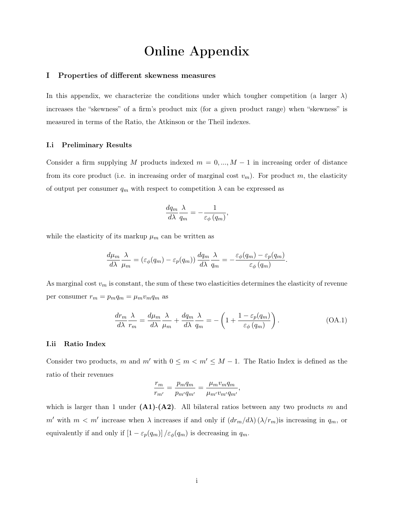# Online Appendix

#### I Properties of different skewness measures

In this appendix, we characterize the conditions under which tougher competition (a larger  $\lambda$ ) increases the "skewness" of a firm's product mix (for a given product range) when "skewness" is measured in terms of the Ratio, the Atkinson or the Theil indexes.

#### I.i Preliminary Results

Consider a firm supplying M products indexed  $m = 0, ..., M - 1$  in increasing order of distance from its core product (i.e. in increasing order of marginal cost  $v_m$ ). For product m, the elasticity of output per consumer  $q_m$  with respect to competition  $\lambda$  can be expressed as

$$
\frac{dq_m}{d\lambda}\frac{\lambda}{q_m} = -\frac{1}{\varepsilon_{\phi}(q_m)}
$$

while the elasticity of its markup  $\mu_m$  can be written as

$$
\frac{d\mu_m}{d\lambda} \frac{\lambda}{\mu_m} = (\varepsilon_{\phi}(q_m) - \varepsilon_p(q_m)) \frac{dq_m}{d\lambda} \frac{\lambda}{q_m} = -\frac{\varepsilon_{\phi}(q_m) - \varepsilon_p(q_m)}{\varepsilon_{\phi}(q_m)}.
$$

As marginal cost  $v_m$  is constant, the sum of these two elasticities determines the elasticity of revenue per consumer  $r_m = p_m q_m = \mu_m v_m q_m$  as

$$
\frac{dr_m}{d\lambda} \frac{\lambda}{r_m} = \frac{d\mu_m}{d\lambda} \frac{\lambda}{\mu_m} + \frac{dq_m}{d\lambda} \frac{\lambda}{q_m} = -\left(1 + \frac{1 - \varepsilon_p(q_m)}{\varepsilon_\phi(q_m)}\right). \tag{OA.1}
$$

,

#### I.ii Ratio Index

Consider two products, m and m' with  $0 \le m < m' \le M - 1$ . The Ratio Index is defined as the ratio of their revenues

$$
\frac{r_m}{r_{m'}} = \frac{p_m q_m}{p_{m'} q_{m'}} = \frac{\mu_m v_m q_m}{\mu_{m'} v_{m'} q_{m'}},
$$

which is larger than 1 under  $(A1)-(A2)$ . All bilateral ratios between any two products m and m' with  $m < m'$  increase when  $\lambda$  increases if and only if  $(dr_m/d\lambda)(\lambda/r_m)$  is increasing in  $q_m$ , or equivalently if and only if  $[1 - \varepsilon_p(q_m)] / \varepsilon_\phi(q_m)$  is decreasing in  $q_m$ .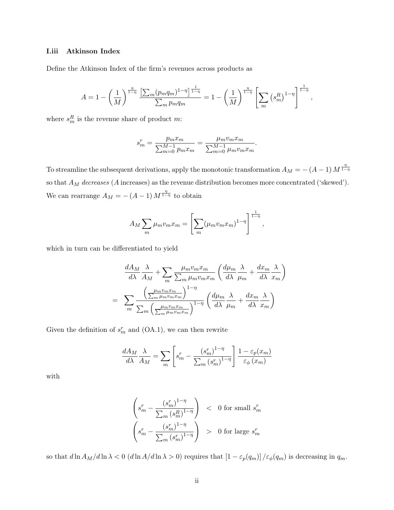#### I.iii Atkinson Index

Define the Atkinson Index of the firm's revenues across products as

$$
A = 1 - \left(\frac{1}{M}\right)^{\frac{\eta}{1-\eta}} \frac{\left[\sum_{m}(p_{m}q_{m})^{1-\eta}\right]^{\frac{1}{1-\eta}}}{\sum_{m} p_{m}q_{m}} = 1 - \left(\frac{1}{M}\right)^{\frac{\eta}{1-\eta}} \left[\sum_{m} \left(s_{m}^{R}\right)^{1-\eta}\right]^{\frac{1}{1-\eta}},
$$

where  $s_m^R$  is the revenue share of product m:

$$
s_m^r = \frac{p_m x_m}{\sum_{m=0}^{M-1} p_m x_m} = \frac{\mu_m v_m x_m}{\sum_{m=0}^{M-1} \mu_m v_m x_m}.
$$

To streamline the subsequent derivations, apply the monotonic transformation  $A_M = - (A - 1) M^{\frac{\eta}{1-\eta}}$ so that  $A_M$  decreases (A increases) as the revenue distribution becomes more concentrated ('skewed'). We can rearrange  $A_M = -(A-1) M^{\frac{\eta}{1-\eta}}$  to obtain

$$
A_M \sum_m \mu_m v_m x_m = \left[ \sum_m (\mu_m v_m x_m)^{1-\eta} \right]^{\frac{1}{1-\eta}},
$$

which in turn can be differentiated to yield

$$
\frac{dA_M}{d\lambda}\frac{\lambda}{A_M} + \sum_m \frac{\mu_m v_m x_m}{\sum_m \mu_m v_m x_m} \left( \frac{d\mu_m}{d\lambda} \frac{\lambda}{\mu_m} + \frac{d x_m}{d\lambda} \frac{\lambda}{x_m} \right)
$$

$$
= \sum_m \frac{\left( \frac{\mu_m v_m x_m}{\sum_m \mu_m v_m x_m} \right)^{1-\eta}}{\sum_m \left( \frac{\mu_m v_m x_m}{\sum_m \mu_m v_m x_m} \right)^{1-\eta}} \left( \frac{d\mu_m}{d\lambda} \frac{\lambda}{\mu_m} + \frac{d x_m}{d\lambda} \frac{\lambda}{x_m} \right)
$$

Given the definition of  $s_m^r$  and (OA.1), we can then rewrite

$$
\frac{dA_M}{d\lambda}\frac{\lambda}{A_M} = \sum_m \left[ s_m^r - \frac{(s_m^r)^{1-\eta}}{\sum_m (s_m^r)^{1-\eta}} \right] \frac{1 - \varepsilon_p(x_m)}{\varepsilon_\phi(x_m)}
$$

with

$$
\begin{aligned} &\left(s^r_m-\frac{(s^r_m)^{1-\eta}}{\sum_m\left(s^R_m\right)^{1-\eta}}\right)~<~0~\text{for small}~s^r_m\\ &\left(s^r_m-\frac{(s^r_m)^{1-\eta}}{\sum_m\left(s^r_m\right)^{1-\eta}}\right)~>~0~\text{for large}~s^r_m \end{aligned}
$$

so that  $d \ln A_M/d \ln \lambda < 0$   $(d \ln A/d \ln \lambda > 0)$  requires that  $\left[1 - \varepsilon_p(q_m)\right] / \varepsilon_\phi(q_m)$  is decreasing in  $q_m$ .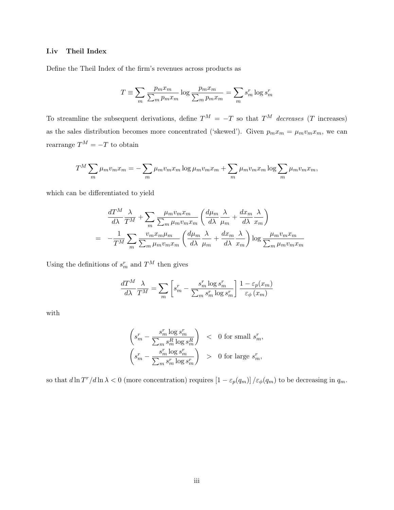#### I.iv Theil Index

Define the Theil Index of the firm's revenues across products as

$$
T \equiv \sum_{m} \frac{p_m x_m}{\sum_{m} p_m x_m} \log \frac{p_m x_m}{\sum_{m} p_m x_m} = \sum_{m} s_m^r \log s_m^r
$$

To streamline the subsequent derivations, define  $T^M = -T$  so that  $T^M$  decreases (T increases) as the sales distribution becomes more concentrated ('skewed'). Given  $p_m x_m = \mu_m v_m x_m$ , we can rearrange $T^{\mathcal{M}}=-T$  to obtain

$$
T^{M} \sum_{m} \mu_{m} v_{m} x_{m} = -\sum_{m} \mu_{m} v_{m} x_{m} \log \mu_{m} v_{m} x_{m} + \sum_{m} \mu_{m} v_{m} x_{m} \log \sum_{m} \mu_{m} v_{m} x_{m},
$$

which can be differentiated to yield

$$
\frac{dT^M}{d\lambda} \frac{\lambda}{T^M} + \sum_m \frac{\mu_m v_m x_m}{\sum_m \mu_m v_m x_m} \left( \frac{d\mu_m}{d\lambda} \frac{\lambda}{\mu_m} + \frac{d x_m}{d\lambda} \frac{\lambda}{x_m} \right)
$$

$$
= -\frac{1}{T^M} \sum_m \frac{v_m x_m \mu_m}{\sum_m \mu_m v_m x_m} \left( \frac{d\mu_m}{d\lambda} \frac{\lambda}{\mu_m} + \frac{d x_m}{d\lambda} \frac{\lambda}{x_m} \right) \log \frac{\mu_m v_m x_m}{\sum_m \mu_m v_m x_m}
$$

Using the definitions of  $s_m^r$  and  $T^M$  then gives

$$
\frac{dT^{M}}{d\lambda} \frac{\lambda}{T^{M}} = \sum_{m} \left[ s_{m}^{r} - \frac{s_{m}^{r} \log s_{m}^{r}}{\sum_{m} s_{m}^{r} \log s_{m}^{r}} \right] \frac{1 - \varepsilon_{p}(x_{m})}{\varepsilon_{\phi}(x_{m})}
$$

with

$$
\begin{aligned} &\left( s_m^r - \frac{s_m^r \log s_m^r}{\sum_m s_m^R \log s_m^R} \right) \quad < \quad 0 \text{ for small } s_m^r, \\ &\left( s_m^r - \frac{s_m^r \log s_m^r}{\sum_m s_m^r \log s_m^r} \right) \quad > \quad 0 \text{ for large } s_m^r, \end{aligned}
$$

so that  $d\ln T^r/d\ln\lambda < 0$  (more concentration) requires  $\left[1 - \varepsilon_p(q_m)\right] / \varepsilon_\phi(q_m)$  to be decreasing in  $q_m$ .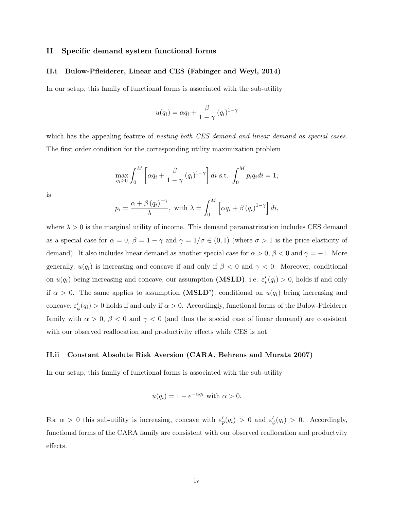#### II Specific demand system functional forms

#### II.i Bulow-Pfleiderer, Linear and CES (Fabinger and Weyl, 2014)

In our setup, this family of functional forms is associated with the sub-utility

$$
u(q_i) = \alpha q_i + \frac{\beta}{1-\gamma} (q_i)^{1-\gamma}
$$

which has the appealing feature of nesting both CES demand and linear demand as special cases. The first order condition for the corresponding utility maximization problem

$$
\max_{q_i \ge 0} \int_0^M \left[ \alpha q_i + \frac{\beta}{1 - \gamma} (q_i)^{1 - \gamma} \right] di \text{ s.t. } \int_0^M p_i q_i di = 1,
$$

is

$$
p_i = \frac{\alpha + \beta (q_i)^{-\gamma}}{\lambda}, \text{ with } \lambda = \int_0^M \left[ \alpha q_i + \beta (q_i)^{1-\gamma} \right] di,
$$

where  $\lambda > 0$  is the marginal utility of income. This demand paramatrization includes CES demand as a special case for  $\alpha = 0$ ,  $\beta = 1 - \gamma$  and  $\gamma = 1/\sigma \in (0,1)$  (where  $\sigma > 1$  is the price elasticity of demand). It also includes linear demand as another special case for  $\alpha > 0$ ,  $\beta < 0$  and  $\gamma = -1$ . More generally,  $u(q_i)$  is increasing and concave if and only if  $\beta < 0$  and  $\gamma < 0$ . Moreover, conditional on  $u(q_i)$  being increasing and concave, our assumption (MSLD), i.e.  $\varepsilon_p'(q_i) > 0$ , holds if and only if  $\alpha > 0$ . The same applies to assumption (MSLD'): conditional on  $u(q_i)$  being increasing and concave,  $\varepsilon'_{\phi}(q_i) > 0$  holds if and only if  $\alpha > 0$ . Accordingly, functional forms of the Bulow-Pfleiderer family with  $\alpha > 0$ ,  $\beta < 0$  and  $\gamma < 0$  (and thus the special case of linear demand) are consistent with our observed reallocation and productivity effects while CES is not.

#### II.ii Constant Absolute Risk Aversion (CARA, Behrens and Murata 2007)

In our setup, this family of functional forms is associated with the sub-utility

$$
u(q_i) = 1 - e^{-\alpha q_i} \text{ with } \alpha > 0.
$$

For  $\alpha > 0$  this sub-utility is increasing, concave with  $\varepsilon_p'(q_i) > 0$  and  $\varepsilon_\phi'(q_i) > 0$ . Accordingly, functional forms of the CARA family are consistent with our observed reallocation and productvity effects.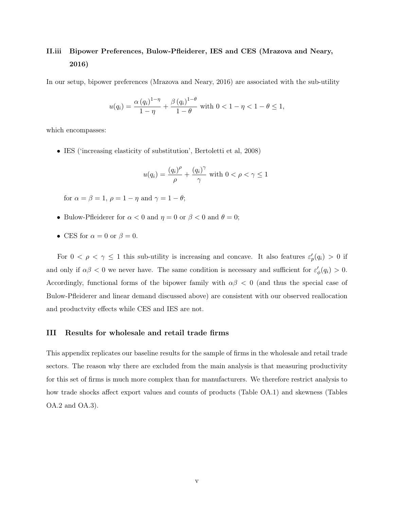# II.iii Bipower Preferences, Bulow-Pfleiderer, IES and CES (Mrazova and Neary, 2016)

In our setup, bipower preferences (Mrazova and Neary, 2016) are associated with the sub-utility

$$
u(q_i) = \frac{\alpha (q_i)^{1-\eta}}{1-\eta} + \frac{\beta (q_i)^{1-\theta}}{1-\theta} \text{ with } 0 < 1-\eta < 1-\theta \le 1,
$$

which encompasses:

• IES ('increasing elasticity of substitution', Bertoletti et al, 2008)

$$
u(q_i) = \frac{(q_i)^{\rho}}{\rho} + \frac{(q_i)^{\gamma}}{\gamma} \text{ with } 0 < \rho < \gamma \le 1
$$

for  $\alpha = \beta = 1$ ,  $\rho = 1 - \eta$  and  $\gamma = 1 - \theta$ ;

- Bulow-Pfleiderer for  $\alpha < 0$  and  $\eta = 0$  or  $\beta < 0$  and  $\theta = 0$ ;
- CES for  $\alpha = 0$  or  $\beta = 0$ .

For  $0 < \rho < \gamma \leq 1$  this sub-utility is increasing and concave. It also features  $\varepsilon_p'(q_i) > 0$  if and only if  $\alpha\beta < 0$  we never have. The same condition is necessary and sufficient for  $\varepsilon'_{\phi}(q_i) > 0$ . Accordingly, functional forms of the bipower family with  $\alpha\beta$  < 0 (and thus the special case of Bulow-Pfleiderer and linear demand discussed above) are consistent with our observed reallocation and productvity effects while CES and IES are not.

#### III Results for wholesale and retail trade firms

This appendix replicates our baseline results for the sample of firms in the wholesale and retail trade sectors. The reason why there are excluded from the main analysis is that measuring productivity for this set of firms is much more complex than for manufacturers. We therefore restrict analysis to how trade shocks affect export values and counts of products (Table OA.1) and skewness (Tables OA.2 and OA.3).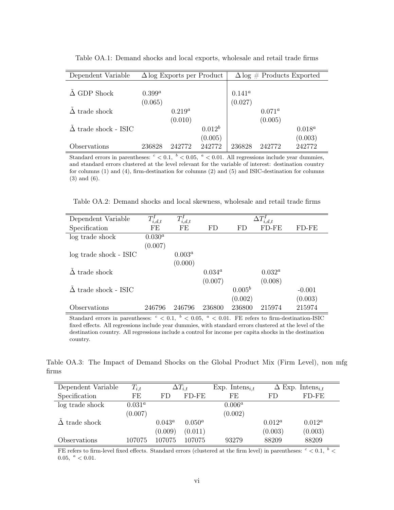| Dependent Variable          | $\Delta$ log Exports per Product |           |           | $\Delta$ log # Products Exported |           |           |  |
|-----------------------------|----------------------------------|-----------|-----------|----------------------------------|-----------|-----------|--|
|                             |                                  |           |           |                                  |           |           |  |
| $\Delta$ GDP Shock          | $0.399^{a}$                      |           |           | $0.141^a$                        |           |           |  |
|                             | (0.065)                          |           |           | (0.027)                          |           |           |  |
| $\Delta$ trade shock        |                                  | $0.219^a$ |           |                                  | $0.071^a$ |           |  |
|                             |                                  | (0.010)   |           |                                  | (0.005)   |           |  |
| $\Delta$ trade shock - ISIC |                                  |           | $0.012^b$ |                                  |           | $0.018^a$ |  |
|                             |                                  |           | (0.005)   |                                  |           | (0.003)   |  |
| Observations                | 236828                           | 242772    | 242772    | 236828                           | 242772    | 242772    |  |

Table OA.1: Demand shocks and local exports, wholesale and retail trade firms

Standard errors in parentheses:  $c < 0.1$ ,  $b < 0.05$ ,  $a < 0.01$ . All regressions include year dummies, and standard errors clustered at the level relevant for the variable of interest: destination country for columns (1) and (4), firm-destination for columns (2) and (5) and ISIC-destination for columns (3) and (6).

Table OA.2: Demand shocks and local skewness, wholesale and retail trade firms

| Dependent Variable     | $T^I_{i,d,t}$ | $T^I_{i,d,t}$ |           |           | i.d.t     |          |
|------------------------|---------------|---------------|-----------|-----------|-----------|----------|
| Specification          | FE            | FE            | <b>FD</b> | FD        | FD-FE     | FD-FE    |
| log trade shock        | $0.030^{a}$   |               |           |           |           |          |
|                        | (0.007)       |               |           |           |           |          |
| log trade shock - ISIC |               | $0.003^a$     |           |           |           |          |
|                        |               | (0.000)       |           |           |           |          |
| trade shock            |               |               | $0.034^a$ |           | $0.032^a$ |          |
|                        |               |               | (0.007)   |           | (0.008)   |          |
| trade shock - ISIC     |               |               |           | $0.005^b$ |           | $-0.001$ |
|                        |               |               |           | (0.002)   |           | (0.003)  |
| Observations           | 246796        | 246796        | 236800    | 236800    | 215974    | 215974   |

Standard errors in parentheses:  $c < 0.1$ ,  $b < 0.05$ ,  $a < 0.01$ . FE refers to firm-destination-ISIC fixed effects. All regressions include year dummies, with standard errors clustered at the level of the destination country. All regressions include a control for income per capita shocks in the destination country.

Table OA.3: The Impact of Demand Shocks on the Global Product Mix (Firm Level), non mfg firms

| Dependent Variable   | $T_{i,t}$ | $\Delta T_{i.t}$ |           | Exp. Intens <sub>i.t</sub> |           | $\Delta$ Exp. Intens <sub>it</sub> |
|----------------------|-----------|------------------|-----------|----------------------------|-----------|------------------------------------|
| Specification        | FE        | FD               | FD-FE     | FE                         | FD.       | FD-FE                              |
| log trade shock      | $0.031^a$ |                  |           | $0.006^a$                  |           |                                    |
|                      | (0.007)   |                  |           | (0.002)                    |           |                                    |
| $\Delta$ trade shock |           | $0.043^a$        | $0.050^a$ |                            | $0.012^a$ | $0.012^a$                          |
|                      |           | (0.009)          | (0.011)   |                            | (0.003)   | (0.003)                            |
| Observations         | 107075    | 107075           | 107075    | 93279                      | 88209     | 88209                              |

FE refers to firm-level fixed effects. Standard errors (clustered at the firm level) in parentheses:  $c < 0.1$ ,  $b <$ 0.05,  $\alpha$  < 0.01.